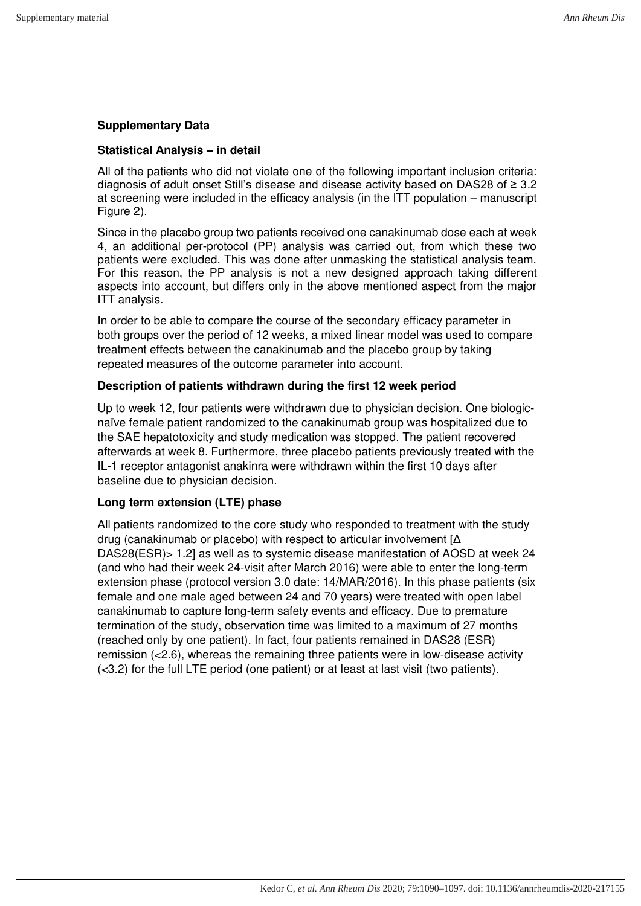### **Supplementary Data**

#### **Statistical Analysis – in detail**

All of the patients who did not violate one of the following important inclusion criteria: diagnosis of adult onset Still's disease and disease activity based on DAS28 of ≥ 3.2 at screening were included in the efficacy analysis (in the ITT population – manuscript Figure 2).

Since in the placebo group two patients received one canakinumab dose each at week 4, an additional per-protocol (PP) analysis was carried out, from which these two patients were excluded. This was done after unmasking the statistical analysis team. For this reason, the PP analysis is not a new designed approach taking different aspects into account, but differs only in the above mentioned aspect from the major ITT analysis.

In order to be able to compare the course of the secondary efficacy parameter in both groups over the period of 12 weeks, a mixed linear model was used to compare treatment effects between the canakinumab and the placebo group by taking repeated measures of the outcome parameter into account.

#### **Description of patients withdrawn during the first 12 week period**

Up to week 12, four patients were withdrawn due to physician decision. One biologicnaïve female patient randomized to the canakinumab group was hospitalized due to the SAE hepatotoxicity and study medication was stopped. The patient recovered afterwards at week 8. Furthermore, three placebo patients previously treated with the IL-1 receptor antagonist anakinra were withdrawn within the first 10 days after baseline due to physician decision.

### **Long term extension (LTE) phase**

All patients randomized to the core study who responded to treatment with the study drug (canakinumab or placebo) with respect to articular involvement [Δ DAS28(ESR)> 1.2] as well as to systemic disease manifestation of AOSD at week 24 (and who had their week 24-visit after March 2016) were able to enter the long-term extension phase (protocol version 3.0 date: 14/MAR/2016). In this phase patients (six female and one male aged between 24 and 70 years) were treated with open label canakinumab to capture long-term safety events and efficacy. Due to premature termination of the study, observation time was limited to a maximum of 27 months (reached only by one patient). In fact, four patients remained in DAS28 (ESR) remission (<2.6), whereas the remaining three patients were in low-disease activity (<3.2) for the full LTE period (one patient) or at least at last visit (two patients).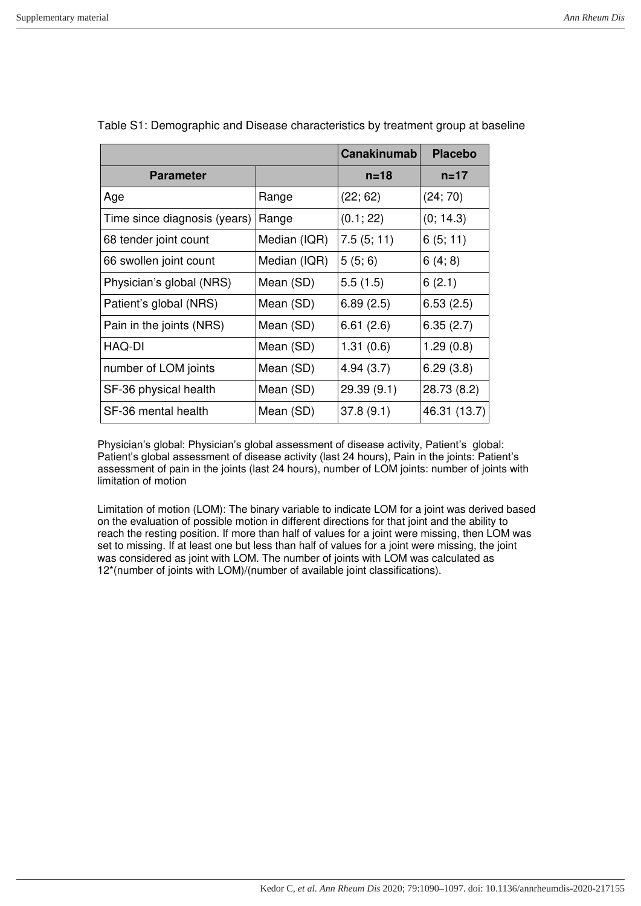|                              |              | <b>Canakinumab</b> | <b>Placebo</b> |
|------------------------------|--------------|--------------------|----------------|
| <b>Parameter</b>             |              | $n = 18$           | $n = 17$       |
| Age                          | Range        | (22; 62)           | (24; 70)       |
| Time since diagnosis (years) | Range        | (0.1; 22)          | (0; 14.3)      |
| 68 tender joint count        | Median (IQR) | 7.5(5;11)          | 6(5; 11)       |
| 66 swollen joint count       | Median (IQR) | 5(5;6)             | 6(4; 8)        |
| Physician's global (NRS)     | Mean (SD)    | 5.5(1.5)           | 6(2.1)         |
| Patient's global (NRS)       | Mean (SD)    | 6.89(2.5)          | 6.53(2.5)      |
| Pain in the joints (NRS)     | Mean (SD)    | 6.61(2.6)          | 6.35(2.7)      |
| HAQ-DI                       | Mean (SD)    | 1.31(0.6)          | 1.29(0.8)      |
| number of LOM joints         | Mean (SD)    | 4.94(3.7)          | 6.29(3.8)      |
| SF-36 physical health        | Mean (SD)    | 29.39(9.1)         | 28.73 (8.2)    |
| SF-36 mental health          | Mean (SD)    | 37.8(9.1)          | 46.31 (13.7)   |

|  | Table S1: Demographic and Disease characteristics by treatment group at baseline |
|--|----------------------------------------------------------------------------------|
|  |                                                                                  |

Physician's global: Physician's global assessment of disease activity, Patient's global: Patient's global assessment of disease activity (last 24 hours), Pain in the joints: Patient's assessment of pain in the joints (last 24 hours), number of LOM joints: number of joints with limitation of motion

Limitation of motion (LOM): The binary variable to indicate LOM for a joint was derived based on the evaluation of possible motion in different directions for that joint and the ability to reach the resting position. If more than half of values for a joint were missing, then LOM was set to missing. If at least one but less than half of values for a joint were missing, the joint was considered as joint with LOM. The number of joints with LOM was calculated as 12\*(number of joints with LOM)/(number of available joint classifications).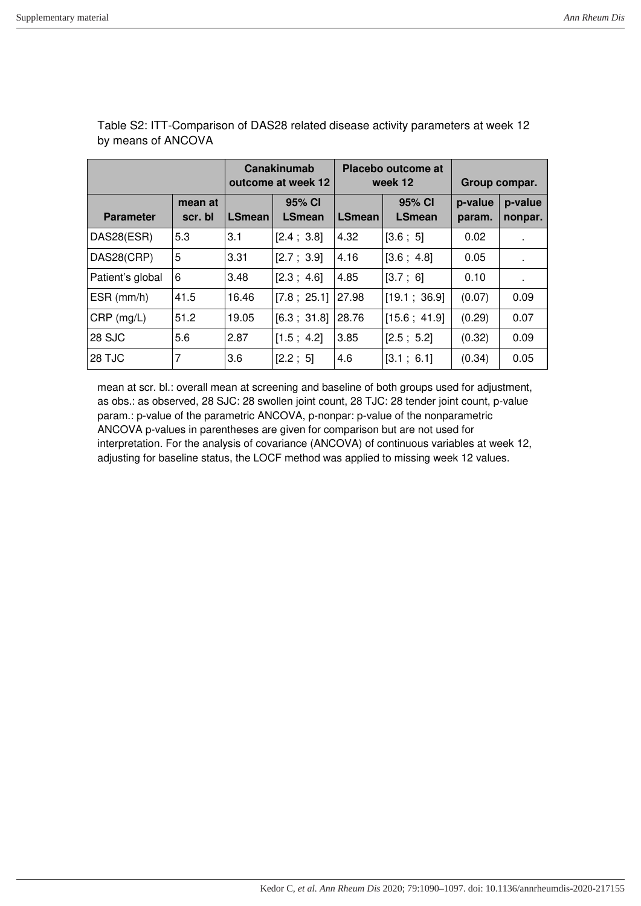|                  |                    |               | Canakinumab<br>outcome at week 12 |               | Placebo outcome at<br>week 12 | Group compar.     |                    |
|------------------|--------------------|---------------|-----------------------------------|---------------|-------------------------------|-------------------|--------------------|
| <b>Parameter</b> | mean at<br>scr. bl | <b>LSmean</b> | 95% CI<br><b>LSmean</b>           | <b>LSmean</b> | 95% CI<br><b>LSmean</b>       | p-value<br>param. | p-value<br>nonpar. |
| DAS28(ESR)       | 5.3                | 3.1           | $[2.4 \; ; \; 3.8]$               | 4.32          | [3.6; 5]                      | 0.02              | $\mathbf{r}$       |
| DAS28(CRP)       | 5                  | 3.31          | [2.7; 3.9]                        | 4.16          | [3.6; 4.8]                    | 0.05              | $\sim$             |
| Patient's global | 6                  | 3.48          | [2.3; 4.6]                        | 4.85          | [3.7; 6]                      | 0.10              | $\mathbf{r}$       |
| $ESR$ (mm/h)     | 41.5               | 16.46         | [7.8; 25.1]                       | 27.98         | [19.1; 36.9]                  | (0.07)            | 0.09               |
| $CRP$ (mg/L)     | 51.2               | 19.05         | [6.3; 31.8]                       | 28.76         | [15.6; 41.9]                  | (0.29)            | 0.07               |
| 28 SJC           | 5.6                | 2.87          | [1.5; 4.2]                        | 3.85          | [2.5; 5.2]                    | (0.32)            | 0.09               |
| <b>28 TJC</b>    | 7                  | 3.6           | [2.2; 5]                          | 4.6           | [3.1; 6.1]                    | (0.34)            | 0.05               |

Table S2: ITT-Comparison of DAS28 related disease activity parameters at week 12 by means of ANCOVA

mean at scr. bl.: overall mean at screening and baseline of both groups used for adjustment, as obs.: as observed, 28 SJC: 28 swollen joint count, 28 TJC: 28 tender joint count, p-value param.: p-value of the parametric ANCOVA, p-nonpar: p-value of the nonparametric ANCOVA p-values in parentheses are given for comparison but are not used for interpretation. For the analysis of covariance (ANCOVA) of continuous variables at week 12, adjusting for baseline status, the LOCF method was applied to missing week 12 values.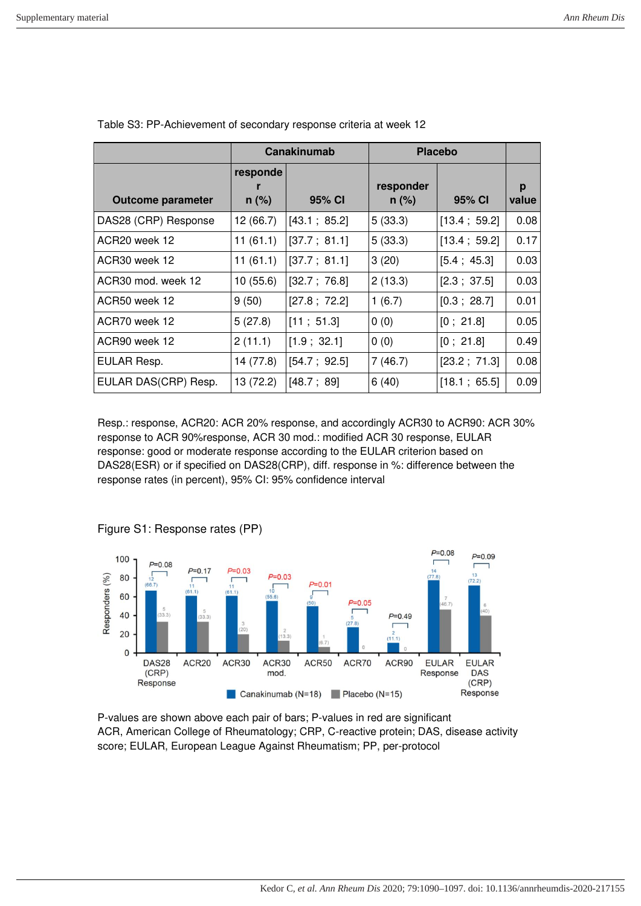|                          |                     | Canakinumab  |                      | <b>Placebo</b> |            |
|--------------------------|---------------------|--------------|----------------------|----------------|------------|
| <b>Outcome parameter</b> | responde<br>$n$ (%) | 95% CI       | responder<br>$n$ (%) | 95% CI         | p<br>value |
| DAS28 (CRP) Response     | 12 (66.7)           | [43.1; 85.2] | 5(33.3)              | [13.4; 59.2]   | 0.08       |
| ACR20 week 12            | 11(61.1)            | [37.7; 81.1] | 5(33.3)              | [13.4; 59.2]   | 0.17       |
| ACR30 week 12            | 11(61.1)            | [37.7; 81.1] | 3(20)                | [5.4; 45.3]    | 0.03       |
| ACR30 mod. week 12       | 10 (55.6)           | [32.7; 76.8] | 2(13.3)              | [2.3; 37.5]    | 0.03       |
| ACR50 week 12            | 9(50)               | [27.8; 72.2] | 1(6.7)               | [0.3; 28.7]    | 0.01       |
| ACR70 week 12            | 5(27.8)             | [11; 51.3]   | 0(0)                 | [0; 21.8]      | 0.05       |
| ACR90 week 12            | 2(11.1)             | [1.9; 32.1]  | 0(0)                 | [0; 21.8]      | 0.49       |
| EULAR Resp.              | 14 (77.8)           | [54.7; 92.5] | 7(46.7)              | [23.2 ; 71.3]  | 0.08       |
| EULAR DAS(CRP) Resp.     | 13 (72.2)           | [48.7; 89]   | 6(40)                | [18.1; 65.5]   | 0.09       |

Table S3: PP-Achievement of secondary response criteria at week 12

Resp.: response, ACR20: ACR 20% response, and accordingly ACR30 to ACR90: ACR 30% response to ACR 90%response, ACR 30 mod.: modified ACR 30 response, EULAR response: good or moderate response according to the EULAR criterion based on DAS28(ESR) or if specified on DAS28(CRP), diff. response in %: difference between the response rates (in percent), 95% CI: 95% confidence interval



Figure S1: Response rates (PP)

P-values are shown above each pair of bars; P-values in red are significant ACR, American College of Rheumatology; CRP, C-reactive protein; DAS, disease activity score; EULAR, European League Against Rheumatism; PP, per-protocol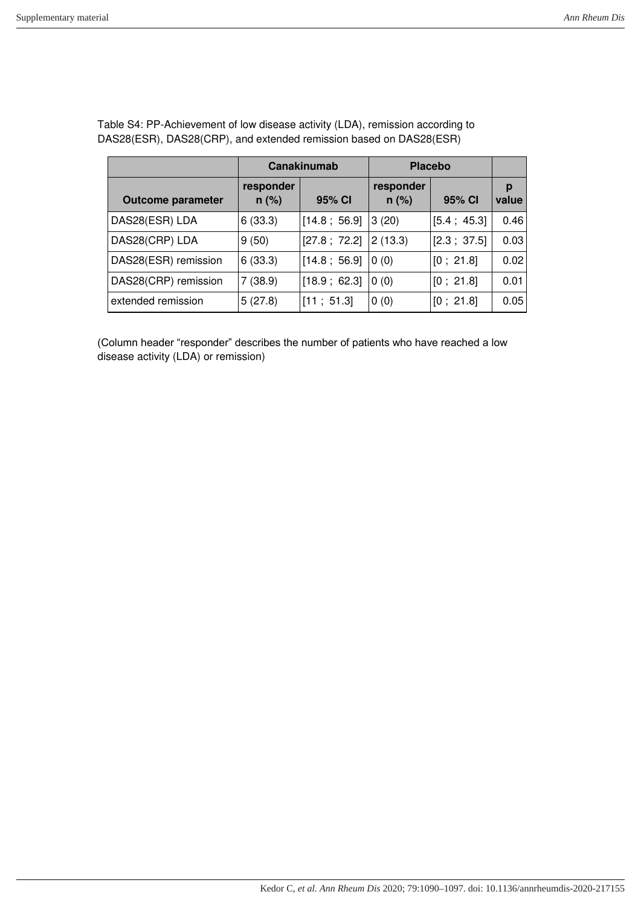|                          |                      | Canakinumab   |                      | <b>Placebo</b> |            |
|--------------------------|----------------------|---------------|----------------------|----------------|------------|
| <b>Outcome parameter</b> | responder<br>$n$ (%) | 95% CI        | responder<br>$n$ (%) | 95% CI         | р<br>value |
| DAS28(ESR) LDA           | 6(33.3)              | [14.8; 56.9]  | 3(20)                | [5.4; 45.3]    | 0.46       |
| DAS28(CRP) LDA           | 9(50)                | [27.8 ; 72.2] | 2(13.3)              | [2.3; 37.5]    | 0.03       |
| DAS28(ESR) remission     | 6(33.3)              | [14.8; 56.9]  | 0(0)                 | [0; 21.8]      | 0.02       |
| DAS28(CRP) remission     | 7(38.9)              | [18.9; 62.3]  | 0(0)                 | [0; 21.8]      | 0.01       |
| extended remission       | 5(27.8)              | [11; 51.3]    | 0(0)                 | [0; 21.8]      | 0.05       |

Table S4: PP-Achievement of low disease activity (LDA), remission according to DAS28(ESR), DAS28(CRP), and extended remission based on DAS28(ESR)

(Column header "responder" describes the number of patients who have reached a low disease activity (LDA) or remission)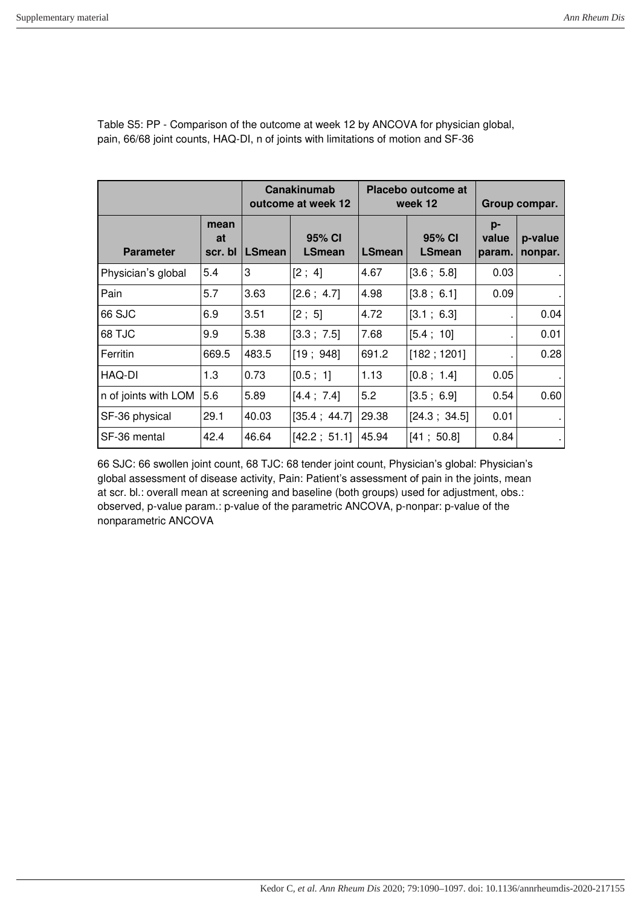|                      |                       |               | Canakinumab<br>outcome at week 12 |               | Placebo outcome at<br>week 12 |                       | Group compar.      |
|----------------------|-----------------------|---------------|-----------------------------------|---------------|-------------------------------|-----------------------|--------------------|
| <b>Parameter</b>     | mean<br>at<br>scr. bl | <b>LSmean</b> | 95% CI<br><b>LSmean</b>           | <b>LSmean</b> | 95% CI<br><b>LSmean</b>       | p-<br>value<br>param. | p-value<br>nonpar. |
| Physician's global   | 5.4                   | 3             | [2; 4]                            | 4.67          | [3.6; 5.8]                    | 0.03                  |                    |
| Pain                 | 5.7                   | 3.63          | [2.6; 4.7]                        | 4.98          | [3.8; 6.1]                    | 0.09                  |                    |
| 66 SJC               | 6.9                   | 3.51          | [2; 5]                            | 4.72          | [3.1; 6.3]                    |                       | 0.04               |
| 68 TJC               | 9.9                   | 5.38          | [3.3 ; 7.5]                       | 7.68          | [5.4; 10]                     | ٠                     | 0.01               |
| Ferritin             | 669.5                 | 483.5         | [19; 948]                         | 691.2         | [182; 1201]                   |                       | 0.28               |
| HAQ-DI               | 1.3                   | 0.73          | [0.5; 1]                          | 1.13          | [0.8; 1.4]                    | 0.05                  |                    |
| n of joints with LOM | 5.6                   | 5.89          | [4.4 ; 7.4]                       | 5.2           | [3.5; 6.9]                    | 0.54                  | 0.60               |
| SF-36 physical       | 29.1                  | 40.03         | $[35.4 \; ; \; 44.7]$             | 29.38         | [24.3; 34.5]                  | 0.01                  |                    |
| SF-36 mental         | 42.4                  | 46.64         | [42.2; 51.1]                      | 45.94         | [41; 50.8]                    | 0.84                  |                    |

Table S5: PP - Comparison of the outcome at week 12 by ANCOVA for physician global, pain, 66/68 joint counts, HAQ-DI, n of joints with limitations of motion and SF-36

66 SJC: 66 swollen joint count, 68 TJC: 68 tender joint count, Physician's global: Physician's global assessment of disease activity, Pain: Patient's assessment of pain in the joints, mean at scr. bl.: overall mean at screening and baseline (both groups) used for adjustment, obs.: observed, p-value param.: p-value of the parametric ANCOVA, p-nonpar: p-value of the nonparametric ANCOVA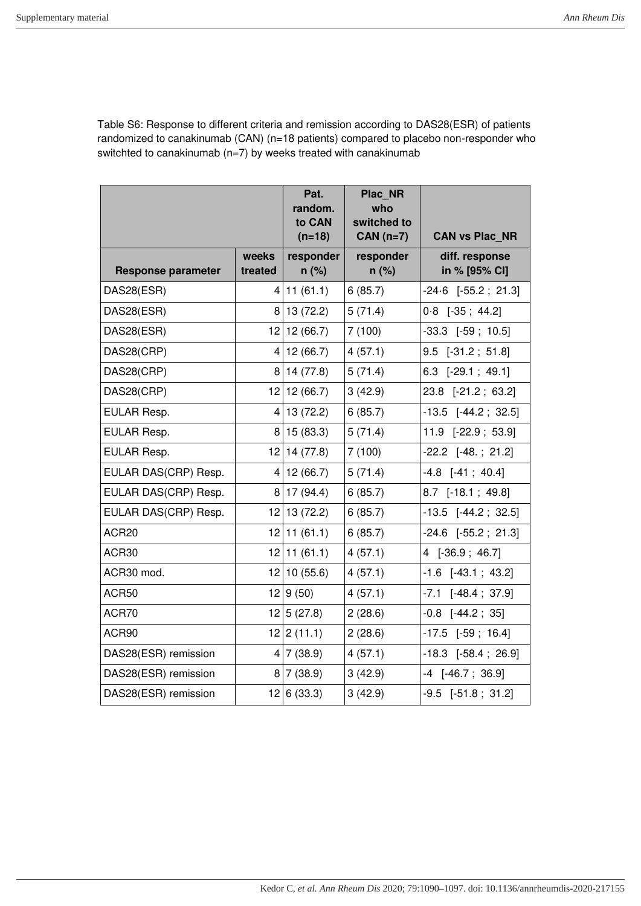Table S6: Response to different criteria and remission according to DAS28(ESR) of patients randomized to canakinumab (CAN) (n=18 patients) compared to placebo non-responder who switchted to canakinumab (n=7) by weeks treated with canakinumab

|                           |                  | Pat.<br>random.<br>to CAN<br>$(n=18)$ | Plac NR<br>who<br>switched to<br>$CAN (n=7)$ | <b>CAN vs Plac NR</b>           |
|---------------------------|------------------|---------------------------------------|----------------------------------------------|---------------------------------|
| <b>Response parameter</b> | weeks<br>treated | responder<br>$n$ (%)                  | responder<br>$n$ (%)                         | diff. response<br>in % [95% CI] |
| DAS28(ESR)                | 4                | 11(61.1)                              | 6(85.7)                                      | $-24.6$ [ $-55.2$ ; 21.3]       |
| DAS28(ESR)                | 8                | 13 (72.2)                             | 5(71.4)                                      | $0.8$ [-35; 44.2]               |
| DAS28(ESR)                | 12               | 12(66.7)                              | 7(100)                                       | $-33.3$ $[-59; 10.5]$           |
| DAS28(CRP)                | 4                | 12(66.7)                              | 4(57.1)                                      | $9.5$ [-31.2; 51.8]             |
| DAS28(CRP)                | 8                | 14 (77.8)                             | 5(71.4)                                      | 6.3 [-29.1; 49.1]               |
| DAS28(CRP)                | 12               | 12(66.7)                              | 3(42.9)                                      | 23.8 [-21.2; 63.2]              |
| EULAR Resp.               | 4                | 13 (72.2)                             | 6(85.7)                                      | $-13.5$ [ $-44.2$ ; 32.5]       |
| EULAR Resp.               | 8                | 15(83.3)                              | 5(71.4)                                      | 11.9 [-22.9; 53.9]              |
| EULAR Resp.               | 12               | 14 (77.8)                             | 7(100)                                       | $-22.2$ $[-48. ; 21.2]$         |
| EULAR DAS(CRP) Resp.      | 4                | 12(66.7)                              | 5(71.4)                                      | $-4.8$ $[-41; 40.4]$            |
| EULAR DAS(CRP) Resp.      | 8                | 17 (94.4)                             | 6(85.7)                                      | 8.7 [-18.1; 49.8]               |
| EULAR DAS(CRP) Resp.      |                  | $12$ 13 (72.2)                        | 6(85.7)                                      | $-13.5$ [ $-44.2$ ; 32.5]       |
| ACR20                     | 12               | 11(61.1)                              | 6(85.7)                                      | $-24.6$ [ $-55.2$ ; 21.3]       |
| ACR30                     | 12               | 11(61.1)                              | 4(57.1)                                      | 4 [-36.9; 46.7]                 |
| ACR30 mod.                | 12               | 10(55.6)                              | 4(57.1)                                      | $-1.6$ $[-43.1; 43.2]$          |
| ACR50                     | 12               | 9(50)                                 | 4(57.1)                                      | $-7.1$ $[-48.4 ; 37.9]$         |
| ACR70                     | 12               | 5(27.8)                               | 2(28.6)                                      | $-0.8$ $[-44.2; 35]$            |
| ACR90                     | 12               | 2(11.1)                               | 2(28.6)                                      | $-17.5$ $[-59; 16.4]$           |
| DAS28(ESR) remission      |                  | 4 7(38.9)                             | 4(57.1)                                      | $-18.3$ [ $-58.4$ ; 26.9]       |
| DAS28(ESR) remission      | 8                | 7(38.9)                               | 3(42.9)                                      | $-4$ [ $-46.7$ ; 36.9]          |
| DAS28(ESR) remission      |                  | 12 6(33.3)                            | 3(42.9)                                      | $-9.5$ [ $-51.8$ ; 31.2]        |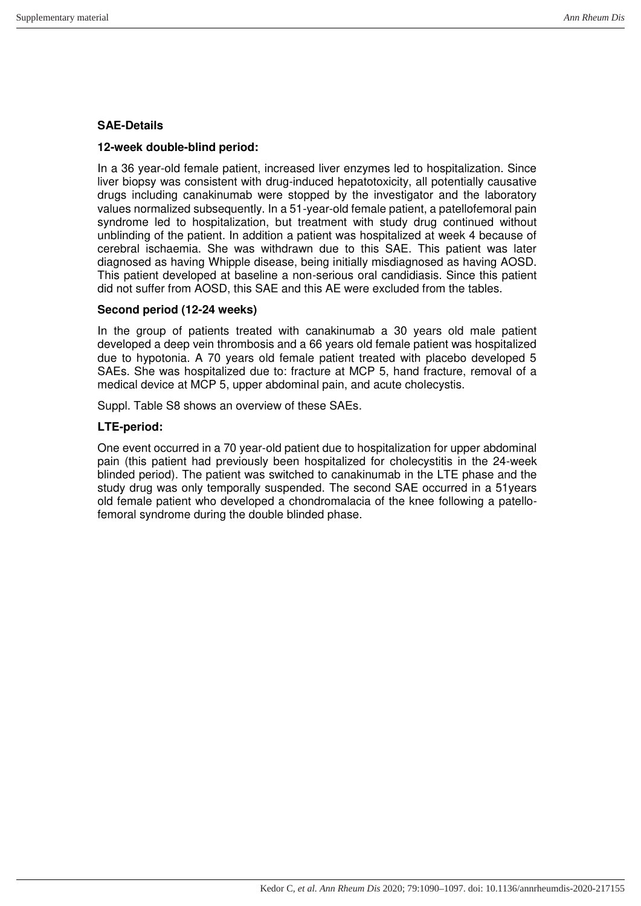#### **SAE-Details**

#### **12-week double-blind period:**

In a 36 year-old female patient, increased liver enzymes led to hospitalization. Since liver biopsy was consistent with drug-induced hepatotoxicity, all potentially causative drugs including canakinumab were stopped by the investigator and the laboratory values normalized subsequently. In a 51-year-old female patient, a patellofemoral pain syndrome led to hospitalization, but treatment with study drug continued without unblinding of the patient. In addition a patient was hospitalized at week 4 because of cerebral ischaemia. She was withdrawn due to this SAE. This patient was later diagnosed as having Whipple disease, being initially misdiagnosed as having AOSD. This patient developed at baseline a non-serious oral candidiasis. Since this patient did not suffer from AOSD, this SAE and this AE were excluded from the tables.

#### **Second period (12-24 weeks)**

In the group of patients treated with canakinumab a 30 years old male patient developed a deep vein thrombosis and a 66 years old female patient was hospitalized due to hypotonia. A 70 years old female patient treated with placebo developed 5 SAEs. She was hospitalized due to: fracture at MCP 5, hand fracture, removal of a medical device at MCP 5, upper abdominal pain, and acute cholecystis.

Suppl. Table S8 shows an overview of these SAEs.

#### **LTE-period:**

One event occurred in a 70 year-old patient due to hospitalization for upper abdominal pain (this patient had previously been hospitalized for cholecystitis in the 24-week blinded period). The patient was switched to canakinumab in the LTE phase and the study drug was only temporally suspended. The second SAE occurred in a 51years old female patient who developed a chondromalacia of the knee following a patellofemoral syndrome during the double blinded phase.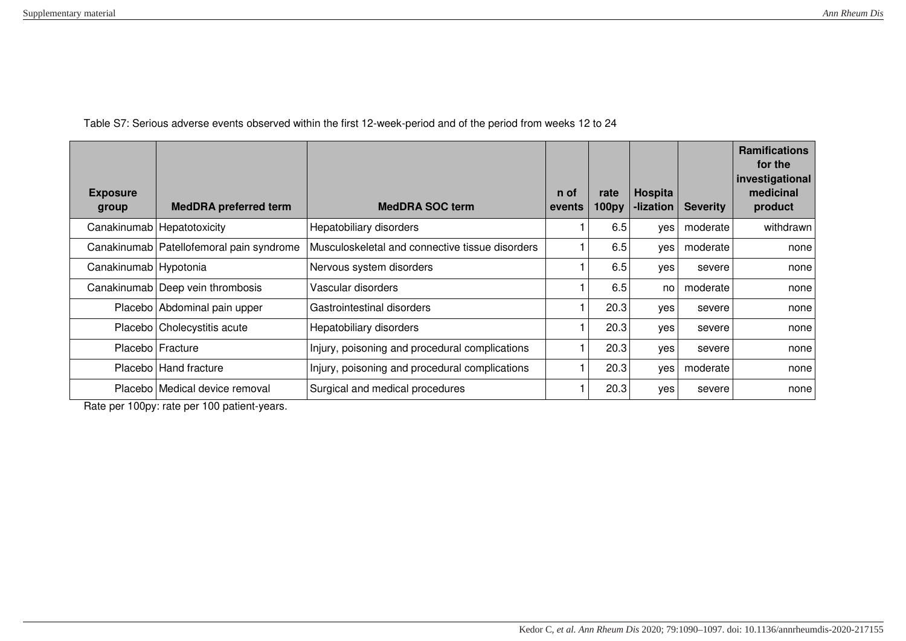Table S7: Serious adverse events observed within the first 12-week-period and of the period from weeks 12 to 24

| <b>Exposure</b><br>group | <b>MedDRA</b> preferred term               | <b>MedDRA SOC term</b>                          | n of<br>events | rate<br>100py | Hospita<br>-lization | <b>Severity</b> | <b>Ramifications</b><br>for the<br>investigational<br>medicinal<br>product |
|--------------------------|--------------------------------------------|-------------------------------------------------|----------------|---------------|----------------------|-----------------|----------------------------------------------------------------------------|
|                          | Canakinumab   Hepatotoxicity               | Hepatobiliary disorders                         |                | 6.5           | yes                  | moderate        | withdrawn                                                                  |
|                          | Canakinumab   Patellofemoral pain syndrome | Musculoskeletal and connective tissue disorders |                | 6.5           | yes                  | moderate        | none                                                                       |
| Canakinumab   Hypotonia  |                                            | Nervous system disorders                        |                | 6.5           | yes                  | severe          | none                                                                       |
|                          | Canakinumab Deep vein thrombosis           | Vascular disorders                              |                | 6.5           | no                   | moderate        | none                                                                       |
|                          | Placebo Abdominal pain upper               | Gastrointestinal disorders                      |                | 20.3          | yes                  | severe          | none                                                                       |
|                          | Placebo Cholecystitis acute                | Hepatobiliary disorders                         |                | 20.3          | yes                  | severe          | none                                                                       |
|                          | Placebo Fracture                           | Injury, poisoning and procedural complications  |                | 20.3          | yes                  | severe          | none                                                                       |
|                          | Placebo   Hand fracture                    | Injury, poisoning and procedural complications  |                | 20.3          | ves                  | moderate        | none                                                                       |
|                          | Placebo   Medical device removal           | Surgical and medical procedures                 |                | 20.3          | yes                  | severe          | none                                                                       |

Rate per 100py: rate per 100 patient-years.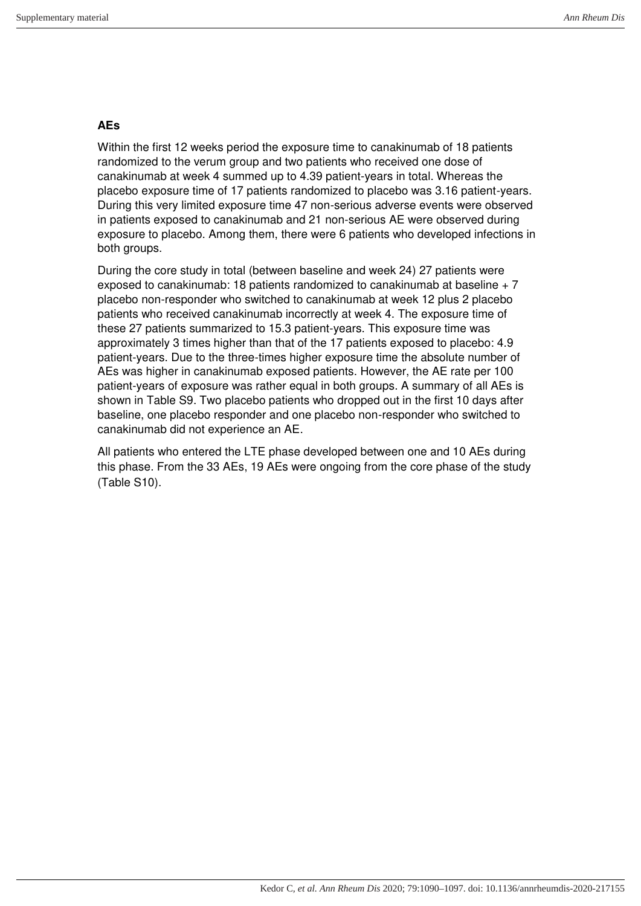#### **AEs**

Within the first 12 weeks period the exposure time to canakinumab of 18 patients randomized to the verum group and two patients who received one dose of canakinumab at week 4 summed up to 4.39 patient-years in total. Whereas the placebo exposure time of 17 patients randomized to placebo was 3.16 patient-years. During this very limited exposure time 47 non-serious adverse events were observed in patients exposed to canakinumab and 21 non-serious AE were observed during exposure to placebo. Among them, there were 6 patients who developed infections in both groups.

During the core study in total (between baseline and week 24) 27 patients were exposed to canakinumab: 18 patients randomized to canakinumab at baseline + 7 placebo non-responder who switched to canakinumab at week 12 plus 2 placebo patients who received canakinumab incorrectly at week 4. The exposure time of these 27 patients summarized to 15.3 patient-years. This exposure time was approximately 3 times higher than that of the 17 patients exposed to placebo: 4.9 patient-years. Due to the three-times higher exposure time the absolute number of AEs was higher in canakinumab exposed patients. However, the AE rate per 100 patient-years of exposure was rather equal in both groups. A summary of all AEs is shown in Table S9. Two placebo patients who dropped out in the first 10 days after baseline, one placebo responder and one placebo non-responder who switched to canakinumab did not experience an AE.

All patients who entered the LTE phase developed between one and 10 AEs during this phase. From the 33 AEs, 19 AEs were ongoing from the core phase of the study (Table S10).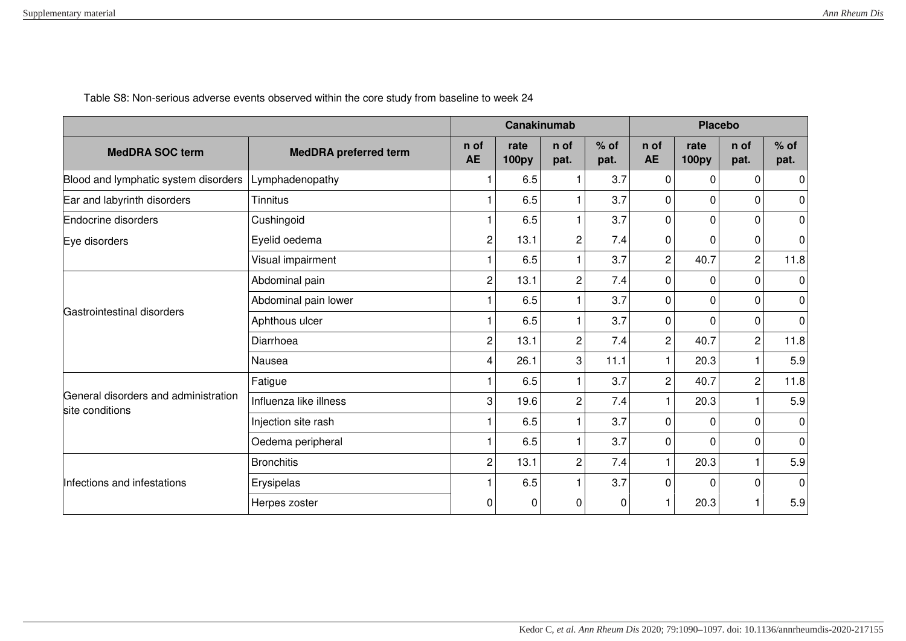|                                                         |                              |                   | <b>Canakinumab</b>   |                |                |                   | <b>Placebo</b>       |                |                |  |
|---------------------------------------------------------|------------------------------|-------------------|----------------------|----------------|----------------|-------------------|----------------------|----------------|----------------|--|
| <b>MedDRA SOC term</b>                                  | <b>MedDRA</b> preferred term | n of<br><b>AE</b> | rate<br><b>100py</b> | n of<br>pat.   | $%$ of<br>pat. | n of<br><b>AE</b> | rate<br><b>100py</b> | n of<br>pat.   | $%$ of<br>pat. |  |
| Blood and lymphatic system disorders                    | Lymphadenopathy              |                   | 6.5                  | 1              | 3.7            | $\mathbf 0$       | $\Omega$             | $\Omega$       | 0              |  |
| Ear and labyrinth disorders                             | Tinnitus                     |                   | 6.5                  |                | 3.7            | 0                 | 0                    | $\Omega$       | 0              |  |
| Endocrine disorders                                     | Cushingoid                   |                   | 6.5                  |                | 3.7            | 0                 | 0                    | $\Omega$       | 0              |  |
| Eye disorders                                           | Eyelid oedema                | 2                 | 13.1                 | 2              | 7.4            | 0                 | 0                    | 0              | 0              |  |
|                                                         | Visual impairment            |                   | 6.5                  |                | 3.7            | $\overline{c}$    | 40.7                 | $\overline{2}$ | 11.8           |  |
|                                                         | Abdominal pain               | $\overline{c}$    | 13.1                 | $\overline{c}$ | 7.4            | $\mathbf 0$       | 0                    | $\Omega$       | 0              |  |
|                                                         | Abdominal pain lower         |                   | 6.5                  |                | 3.7            | $\mathbf 0$       | $\mathbf{0}$         | $\Omega$       | 0              |  |
| Gastrointestinal disorders                              | Aphthous ulcer               |                   | 6.5                  | 1              | 3.7            | $\mathbf 0$       | $\mathbf{0}$         | $\Omega$       | $\mathbf 0$    |  |
|                                                         | Diarrhoea                    | $\overline{2}$    | 13.1                 | $\overline{c}$ | 7.4            | $\overline{c}$    | 40.7                 | $\overline{c}$ | 11.8           |  |
|                                                         | Nausea                       | 4                 | 26.1                 | 3              | 11.1           | $\mathbf{1}$      | 20.3                 | $\mathbf{1}$   | 5.9            |  |
|                                                         | Fatigue                      |                   | 6.5                  |                | 3.7            | $\overline{c}$    | 40.7                 | $\overline{2}$ | 11.8           |  |
| General disorders and administration<br>site conditions | Influenza like illness       | 3                 | 19.6                 | $\overline{c}$ | 7.4            | $\mathbf{1}$      | 20.3                 |                | 5.9            |  |
|                                                         | Injection site rash          |                   | 6.5                  |                | 3.7            | $\mathbf 0$       | $\Omega$             | $\Omega$       | $\Omega$       |  |
|                                                         | Oedema peripheral            |                   | 6.5                  | 1              | 3.7            | 0                 | 0                    | $\Omega$       | $\Omega$       |  |
|                                                         | <b>Bronchitis</b>            | $\overline{2}$    | 13.1                 | $\overline{c}$ | 7.4            | $\mathbf{1}$      | 20.3                 | 1              | 5.9            |  |
| Infections and infestations                             | Erysipelas                   |                   | 6.5                  |                | 3.7            | 0                 | $\Omega$             | $\Omega$       | $\Omega$       |  |
|                                                         | Herpes zoster                | 0                 | 0                    | 0              | 0              |                   | 20.3                 |                | 5.9            |  |

Table S8: Non-serious adverse events observed within the core study from baseline to week 24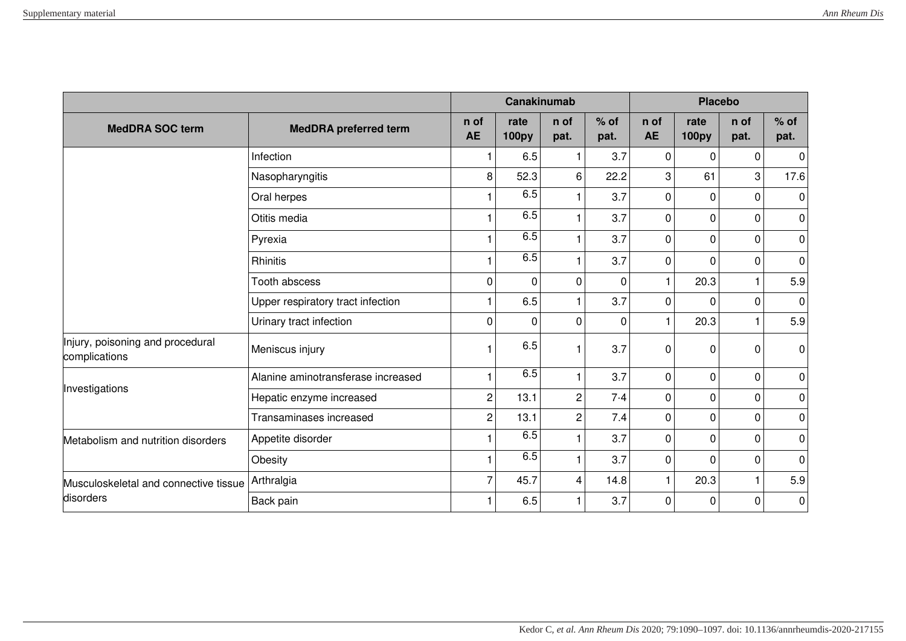|                                                   |                                    |                   | Canakinumab          |                |                | <b>Placebo</b>    |                      |              |                |
|---------------------------------------------------|------------------------------------|-------------------|----------------------|----------------|----------------|-------------------|----------------------|--------------|----------------|
| <b>MedDRA SOC term</b>                            | <b>MedDRA</b> preferred term       | n of<br><b>AE</b> | rate<br><b>100py</b> | n of<br>pat.   | $%$ of<br>pat. | n of<br><b>AE</b> | rate<br><b>100py</b> | n of<br>pat. | $%$ of<br>pat. |
|                                                   | Infection                          |                   | 6.5                  |                | 3.7            | $\mathbf 0$       | 0                    | $\Omega$     | $\pmb{0}$      |
|                                                   | Nasopharyngitis                    | 8                 | 52.3                 | 6              | 22.2           | 3                 | 61                   | 3            | 17.6           |
|                                                   | Oral herpes                        |                   | 6.5                  |                | 3.7            | $\mathbf 0$       | 0                    | $\mathbf 0$  | $\pmb{0}$      |
|                                                   | Otitis media                       |                   | 6.5                  |                | 3.7            | 0                 | 0                    | $\Omega$     | 0              |
|                                                   | Pyrexia                            |                   | 6.5                  |                | 3.7            | 0                 | $\Omega$             | $\Omega$     | 0              |
|                                                   | Rhinitis                           |                   | 6.5                  |                | 3.7            | 0                 | $\Omega$             | $\Omega$     | $\pmb{0}$      |
|                                                   | <b>Tooth abscess</b>               | $\mathbf 0$       | $\mathbf 0$          | $\mathbf 0$    | $\mathbf 0$    | $\mathbf{1}$      | 20.3                 | 1            | 5.9            |
|                                                   | Upper respiratory tract infection  |                   | 6.5                  |                | 3.7            | $\mathbf 0$       | $\Omega$             | $\Omega$     | $\mathbf 0$    |
|                                                   | Urinary tract infection            | $\Omega$          | $\Omega$             | $\mathbf{0}$   | $\mathbf{0}$   | $\mathbf{1}$      | 20.3                 | 1            | 5.9            |
| Injury, poisoning and procedural<br>complications | Meniscus injury                    |                   | 6.5                  |                | 3.7            | 0                 | $\mathbf{0}$         | 0            | $\pmb{0}$      |
|                                                   | Alanine aminotransferase increased |                   | 6.5                  |                | 3.7            | 0                 | 0                    | 0            | 0              |
| Investigations                                    | Hepatic enzyme increased           | $\overline{c}$    | 13.1                 | $\overline{2}$ | 7.4            | $\mathbf 0$       | 0                    | $\mathbf 0$  | 0              |
|                                                   | Transaminases increased            | $\overline{c}$    | 13.1                 | $\overline{2}$ | 7.4            | 0                 | 0                    | 0            | $\pmb{0}$      |
| Metabolism and nutrition disorders                | Appetite disorder                  |                   | 6.5                  |                | 3.7            | 0                 | 0                    | $\Omega$     | $\pmb{0}$      |
|                                                   | Obesity                            |                   | 6.5                  |                | 3.7            | $\mathbf 0$       | $\Omega$             | $\Omega$     | 0              |
| Musculoskeletal and connective tissue             | Arthralgia                         | 7                 | 45.7                 | 4              | 14.8           | $\mathbf{1}$      | 20.3                 | 1            | 5.9            |
| disorders                                         | Back pain                          |                   | 6.5                  |                | 3.7            | 0                 | $\Omega$             | $\mathbf 0$  | 0              |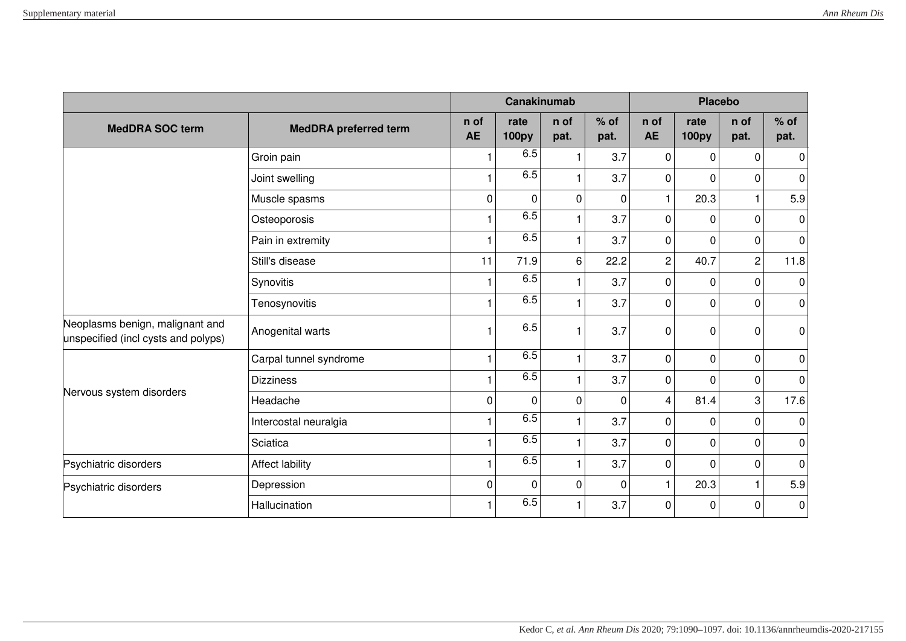|                                                                        |                              |                   | Canakinumab          |              |                | <b>Placebo</b>    |                      |                |                |
|------------------------------------------------------------------------|------------------------------|-------------------|----------------------|--------------|----------------|-------------------|----------------------|----------------|----------------|
| <b>MedDRA SOC term</b>                                                 | <b>MedDRA</b> preferred term | n of<br><b>AE</b> | rate<br><b>100py</b> | n of<br>pat. | $%$ of<br>pat. | n of<br><b>AE</b> | rate<br><b>100py</b> | n of<br>pat.   | $%$ of<br>pat. |
|                                                                        | Groin pain                   |                   | 6.5                  |              | 3.7            | $\mathbf 0$       | 0                    | $\Omega$       | 0              |
|                                                                        | Joint swelling               |                   | 6.5                  |              | 3.7            | $\mathbf 0$       | $\Omega$             | $\Omega$       | 0              |
|                                                                        | Muscle spasms                | 0                 | $\mathbf 0$          | $\mathbf 0$  | $\mathbf 0$    | $\mathbf{1}$      | 20.3                 | 1              | 5.9            |
|                                                                        | Osteoporosis                 |                   | 6.5                  |              | 3.7            | $\mathbf 0$       | $\Omega$             | 0              | $\pmb{0}$      |
|                                                                        | Pain in extremity            |                   | 6.5                  |              | 3.7            | $\mathbf 0$       | $\mathbf{0}$         | $\Omega$       | $\pmb{0}$      |
|                                                                        | Still's disease              | 11                | 71.9                 | 6            | 22.2           | $\overline{c}$    | 40.7                 | $\overline{c}$ | 11.8           |
|                                                                        | Synovitis                    |                   | 6.5                  |              | 3.7            | 0                 | $\Omega$             | $\Omega$       | $\pmb{0}$      |
|                                                                        | Tenosynovitis                |                   | 6.5                  |              | 3.7            | $\mathbf 0$       | 0                    | $\mathbf 0$    | $\pmb{0}$      |
| Neoplasms benign, malignant and<br>unspecified (incl cysts and polyps) | Anogenital warts             |                   | 6.5                  |              | 3.7            | 0                 | 0                    | 0              | $\pmb{0}$      |
|                                                                        | Carpal tunnel syndrome       |                   | 6.5                  |              | 3.7            | $\mathbf 0$       | 0                    | $\mathbf 0$    | $\pmb{0}$      |
|                                                                        | <b>Dizziness</b>             |                   | 6.5                  | 1            | 3.7            | 0                 | 0                    | 0              | 0              |
| Nervous system disorders                                               | Headache                     | 0                 | $\mathbf 0$          | $\mathbf 0$  | $\mathbf 0$    | 4                 | 81.4                 | 3              | 17.6           |
|                                                                        | Intercostal neuralgia        |                   | 6.5                  |              | 3.7            | $\mathbf 0$       | $\mathbf{0}$         | $\Omega$       | $\mathbf 0$    |
|                                                                        | Sciatica                     |                   | 6.5                  |              | 3.7            | 0                 | 0                    | $\Omega$       | 0              |
| Psychiatric disorders                                                  | Affect lability              |                   | 6.5                  |              | 3.7            | $\mathbf 0$       | $\Omega$             | 0              | $\pmb{0}$      |
| Psychiatric disorders                                                  | Depression                   | $\Omega$          | $\Omega$             | $\mathbf{0}$ | $\mathbf{0}$   | $\mathbf{1}$      | 20.3                 | $\mathbf{1}$   | 5.9            |
|                                                                        | Hallucination                |                   | 6.5                  |              | 3.7            | $\mathbf 0$       | $\Omega$             | $\Omega$       | $\pmb{0}$      |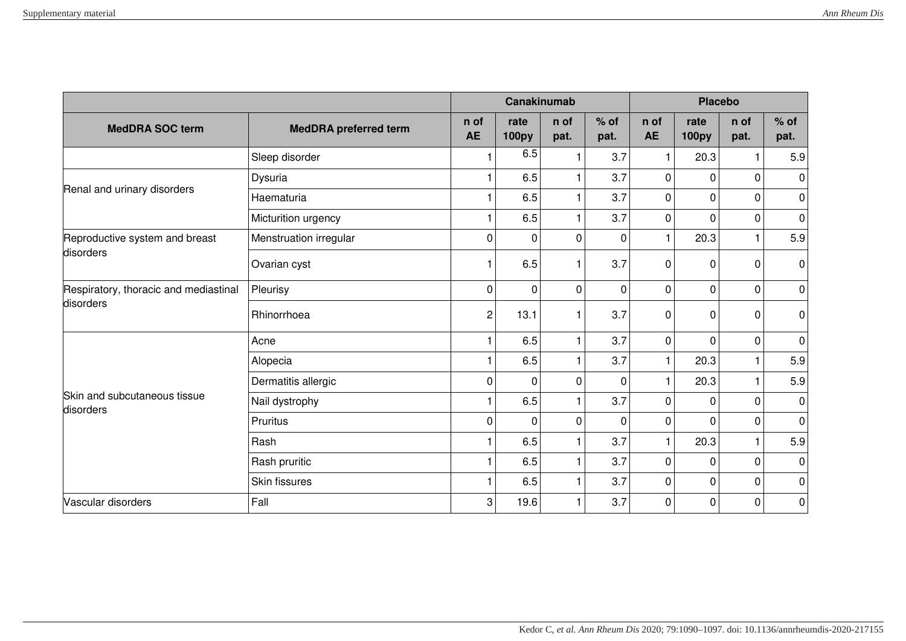|                                           |                              |                   | Canakinumab          |                         |                | <b>Placebo</b>    |                      |                |                |
|-------------------------------------------|------------------------------|-------------------|----------------------|-------------------------|----------------|-------------------|----------------------|----------------|----------------|
| <b>MedDRA SOC term</b>                    | <b>MedDRA</b> preferred term | n of<br><b>AE</b> | rate<br><b>100py</b> | n of<br>pat.            | $%$ of<br>pat. | n of<br><b>AE</b> | rate<br><b>100py</b> | n of<br>pat.   | $%$ of<br>pat. |
|                                           | Sleep disorder               |                   | 6.5                  |                         | 3.7            | 1                 | 20.3                 | 1              | 5.9            |
| Renal and urinary disorders               | Dysuria                      |                   | 6.5                  |                         | 3.7            | $\mathbf 0$       | 0                    | $\mathbf 0$    | $\pmb{0}$      |
|                                           | Haematuria                   |                   | 6.5                  |                         | 3.7            | $\mathbf 0$       | 0                    | $\mathbf 0$    | $\pmb{0}$      |
|                                           | Micturition urgency          |                   | 6.5                  | -1                      | 3.7            | 0                 | 0                    | $\mathbf 0$    | $\pmb{0}$      |
| Reproductive system and breast            | Menstruation irregular       | $\mathbf 0$       | 0                    | $\mathbf 0$             | $\mathbf 0$    | $\mathbf{1}$      | 20.3                 | 1              | 5.9            |
| disorders                                 | Ovarian cyst                 |                   | 6.5                  |                         | 3.7            | 0                 | 0                    | $\Omega$       | 0              |
| Respiratory, thoracic and mediastinal     | Pleurisy                     | $\Omega$          | 0                    | $\mathbf 0$             | $\mathbf 0$    | 0                 | 0                    | $\overline{0}$ | 0              |
| disorders                                 | Rhinorrhoea                  | $\overline{c}$    | 13.1                 |                         | 3.7            | 0                 | $\mathbf{0}$         | 0              | 0              |
|                                           | Acne                         |                   | 6.5                  | 1                       | 3.7            | $\mathbf 0$       | $\Omega$             | $\mathbf 0$    | $\pmb{0}$      |
|                                           | Alopecia                     |                   | 6.5                  |                         | 3.7            | $\mathbf{1}$      | 20.3                 | $\mathbf{1}$   | 5.9            |
|                                           | Dermatitis allergic          | $\mathbf 0$       | 0                    | $\mathbf 0$             | $\mathbf 0$    | $\mathbf{1}$      | 20.3                 | $\mathbf 1$    | 5.9            |
| Skin and subcutaneous tissue<br>disorders | Nail dystrophy               |                   | 6.5                  |                         | 3.7            | 0                 | 0                    | $\mathbf 0$    | $\pmb{0}$      |
|                                           | Pruritus                     | $\mathbf 0$       | 0                    | $\mathbf 0$             | $\mathbf 0$    | 0                 | $\Omega$             | 0              | $\pmb{0}$      |
|                                           | Rash                         |                   | 6.5                  | $\overline{\mathbf{1}}$ | 3.7            | $\mathbf{1}$      | 20.3                 | 1              | 5.9            |
|                                           | Rash pruritic                |                   | 6.5                  | $\overline{1}$          | 3.7            | $\mathbf 0$       | 0                    | $\mathbf 0$    | 0              |
|                                           | Skin fissures                |                   | 6.5                  |                         | 3.7            | 0                 | 0                    | $\mathbf 0$    | $\pmb{0}$      |
| Vascular disorders                        | Fall                         | 3                 | 19.6                 | 1                       | 3.7            | $\overline{0}$    | 0                    | $\overline{0}$ | $\pmb{0}$      |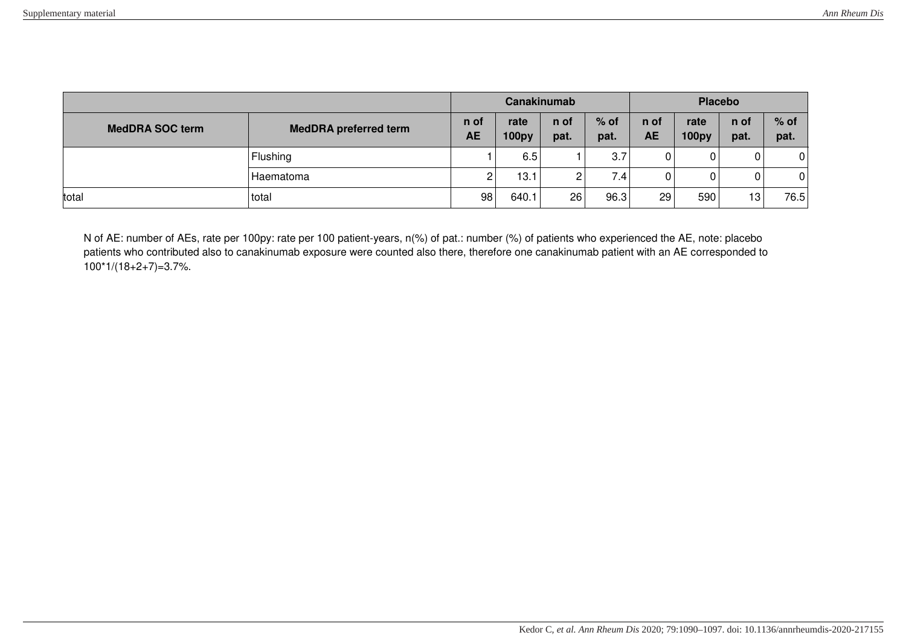|                                                        |           | Canakinumab       |                      |              |                | <b>Placebo</b>    |                      |                 |                |
|--------------------------------------------------------|-----------|-------------------|----------------------|--------------|----------------|-------------------|----------------------|-----------------|----------------|
| <b>MedDRA SOC term</b><br><b>MedDRA</b> preferred term |           | n of<br><b>AE</b> | rate<br><b>100py</b> | n of<br>pat. | $%$ of<br>pat. | n of<br><b>AE</b> | rate<br><b>100py</b> | n of<br>pat.    | $%$ of<br>pat. |
|                                                        | Flushing  |                   | 6.5                  |              | 3.7            | 0                 | 0                    | 0               | $\mathbf 0$    |
|                                                        | Haematoma |                   | 13.1                 | ∽            | 7.4            | 0                 | 0                    | 0               | $\overline{0}$ |
| total                                                  | total     | 98                | 640.1                | 26           | 96.3           | 29                | 590                  | 13 <sub>1</sub> | 76.5           |

N of AE: number of AEs, rate per 100py: rate per 100 patient-years, n(%) of pat.: number (%) of patients who experienced the AE, note: placebo patients who contributed also to canakinumab exposure were counted also there, therefore one canakinumab patient with an AE corresponded to 100\*1/(18+2+7)=3.7%.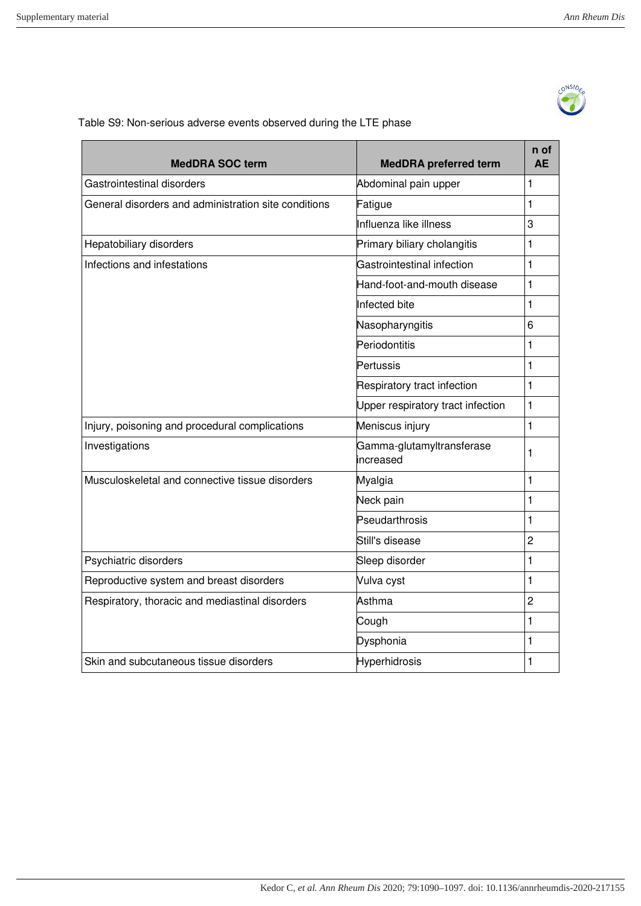

Table S9: Non-serious adverse events observed during the LTE phase

| <b>MedDRA SOC term</b>                               | <b>MedDRA</b> preferred term           | n of<br><b>AE</b> |
|------------------------------------------------------|----------------------------------------|-------------------|
| Gastrointestinal disorders                           | Abdominal pain upper                   | 1                 |
| General disorders and administration site conditions | Fatigue                                | $\mathbf{1}$      |
|                                                      | Influenza like illness                 | 3                 |
| Hepatobiliary disorders                              | Primary biliary cholangitis            | 1                 |
| Infections and infestations                          | Gastrointestinal infection             | $\mathbf{1}$      |
|                                                      | Hand-foot-and-mouth disease            | 1                 |
|                                                      | Infected bite                          | $\mathbf{1}$      |
|                                                      | Nasopharyngitis                        | 6                 |
|                                                      | Periodontitis                          | $\mathbf{1}$      |
|                                                      | Pertussis                              | $\mathbf{1}$      |
|                                                      | Respiratory tract infection            | $\mathbf{1}$      |
|                                                      | Upper respiratory tract infection      | $\mathbf{1}$      |
| Injury, poisoning and procedural complications       | Meniscus injury                        | $\mathbf{1}$      |
| Investigations                                       | Gamma-glutamyltransferase<br>increased | 1                 |
| Musculoskeletal and connective tissue disorders      | Myalgia                                | $\mathbf{1}$      |
|                                                      | Neck pain                              | $\mathbf{1}$      |
|                                                      | Pseudarthrosis                         | 1                 |
|                                                      | Still's disease                        | $\overline{2}$    |
| Psychiatric disorders                                | Sleep disorder                         | $\mathbf{1}$      |
| Reproductive system and breast disorders             | Vulva cyst                             | $\mathbf{1}$      |
| Respiratory, thoracic and mediastinal disorders      | Asthma                                 | $\overline{c}$    |
|                                                      | Cough                                  | $\mathbf{1}$      |
|                                                      | Dysphonia                              | $\mathbf{1}$      |
| Skin and subcutaneous tissue disorders               | Hyperhidrosis                          | $\mathbf{1}$      |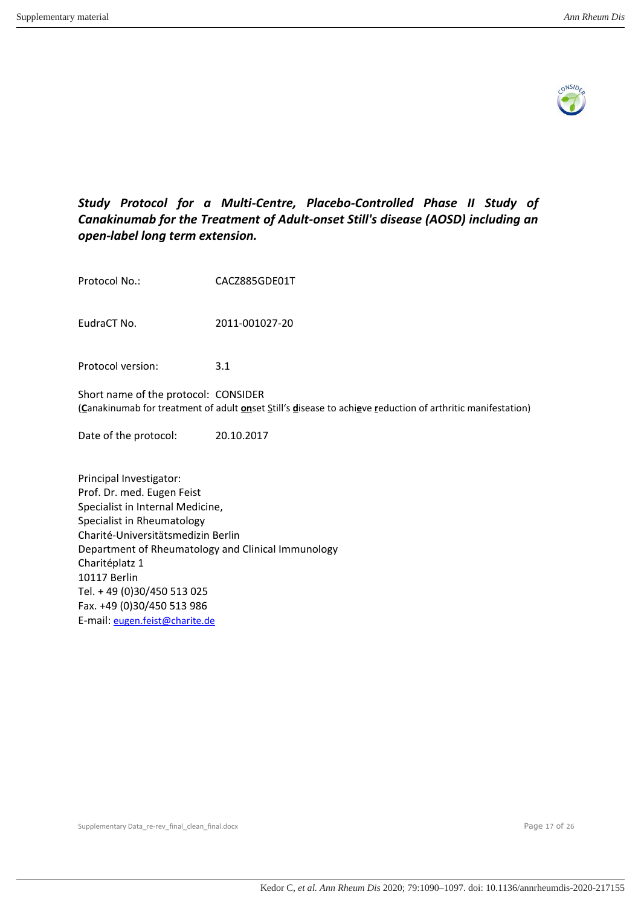

# *Study Protocol for a Multi-Centre, Placebo-Controlled Phase II Study of Canakinumab for the Treatment of Adult-onset Still's disease (AOSD) including an open-label long term extension.*

| Protocol No.:                                                                                                                                                                                                                                                                                                      | CACZ885GDE01T                                                                                              |
|--------------------------------------------------------------------------------------------------------------------------------------------------------------------------------------------------------------------------------------------------------------------------------------------------------------------|------------------------------------------------------------------------------------------------------------|
| EudraCT No.                                                                                                                                                                                                                                                                                                        | 2011-001027-20                                                                                             |
| Protocol version:                                                                                                                                                                                                                                                                                                  | 3.1                                                                                                        |
| Short name of the protocol: CONSIDER                                                                                                                                                                                                                                                                               | (Canakinumab for treatment of adult onset Still's disease to achieve reduction of arthritic manifestation) |
| Date of the protocol:                                                                                                                                                                                                                                                                                              | 20.10.2017                                                                                                 |
| Principal Investigator:<br>Prof. Dr. med. Eugen Feist<br>Specialist in Internal Medicine,<br>Specialist in Rheumatology<br>Charité-Universitätsmedizin Berlin<br>Department of Rheumatology and Clinical Immunology<br>Charitéplatz 1<br>10117 Berlin<br>Tel. + 49 (0)30/450 513 025<br>Fax. +49 (0)30/450 513 986 |                                                                                                            |

Fax. +49 (0)30/450 513 986 E-mail: [eugen.feist@charite.de](mailto:eugen.feist@charite.de)

Supplementary Data\_re-rev\_final\_clean\_final.docx example 30 and 26 and 26 and 26 and 26 and 27 of 26 and 27 of 26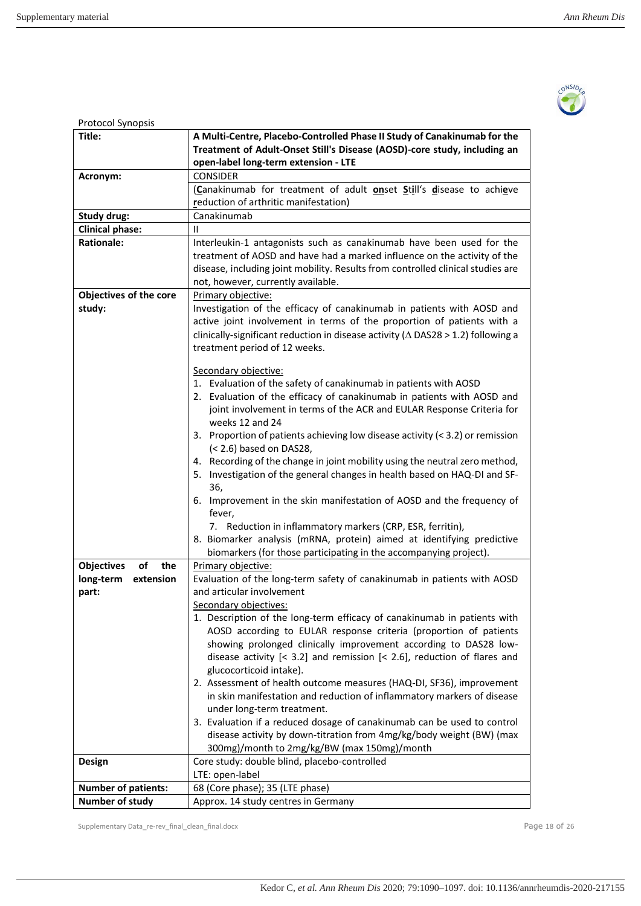

| Protocol Synopsis              |                                                                                          |  |  |  |  |
|--------------------------------|------------------------------------------------------------------------------------------|--|--|--|--|
| Title:                         | A Multi-Centre, Placebo-Controlled Phase II Study of Canakinumab for the                 |  |  |  |  |
|                                | Treatment of Adult-Onset Still's Disease (AOSD)-core study, including an                 |  |  |  |  |
|                                | open-label long-term extension - LTE                                                     |  |  |  |  |
| Acronym:                       | <b>CONSIDER</b>                                                                          |  |  |  |  |
|                                | (Canakinumab for treatment of adult onset Still's disease to achieve                     |  |  |  |  |
|                                | reduction of arthritic manifestation)                                                    |  |  |  |  |
| Study drug:                    | Canakinumab                                                                              |  |  |  |  |
| <b>Clinical phase:</b>         | Ш                                                                                        |  |  |  |  |
| <b>Rationale:</b>              |                                                                                          |  |  |  |  |
|                                | Interleukin-1 antagonists such as canakinumab have been used for the                     |  |  |  |  |
|                                | treatment of AOSD and have had a marked influence on the activity of the                 |  |  |  |  |
|                                | disease, including joint mobility. Results from controlled clinical studies are          |  |  |  |  |
|                                | not, however, currently available.                                                       |  |  |  |  |
| Objectives of the core         | Primary objective:                                                                       |  |  |  |  |
| study:                         | Investigation of the efficacy of canakinumab in patients with AOSD and                   |  |  |  |  |
|                                | active joint involvement in terms of the proportion of patients with a                   |  |  |  |  |
|                                | clinically-significant reduction in disease activity ( $\Delta$ DAS28 > 1.2) following a |  |  |  |  |
|                                | treatment period of 12 weeks.                                                            |  |  |  |  |
|                                |                                                                                          |  |  |  |  |
|                                | Secondary objective:                                                                     |  |  |  |  |
|                                | 1. Evaluation of the safety of canakinumab in patients with AOSD                         |  |  |  |  |
|                                | 2. Evaluation of the efficacy of canakinumab in patients with AOSD and                   |  |  |  |  |
|                                | joint involvement in terms of the ACR and EULAR Response Criteria for                    |  |  |  |  |
|                                | weeks 12 and 24                                                                          |  |  |  |  |
|                                | 3. Proportion of patients achieving low disease activity (< 3.2) or remission            |  |  |  |  |
|                                | (< 2.6) based on DAS28,                                                                  |  |  |  |  |
|                                | 4. Recording of the change in joint mobility using the neutral zero method,              |  |  |  |  |
|                                | 5. Investigation of the general changes in health based on HAQ-DI and SF-                |  |  |  |  |
|                                | 36,                                                                                      |  |  |  |  |
|                                | 6. Improvement in the skin manifestation of AOSD and the frequency of                    |  |  |  |  |
|                                | fever,                                                                                   |  |  |  |  |
|                                | 7. Reduction in inflammatory markers (CRP, ESR, ferritin),                               |  |  |  |  |
|                                | 8. Biomarker analysis (mRNA, protein) aimed at identifying predictive                    |  |  |  |  |
|                                | biomarkers (for those participating in the accompanying project).                        |  |  |  |  |
| <b>Objectives</b><br>оf<br>the | Primary objective:                                                                       |  |  |  |  |
| long-term<br>extension         | Evaluation of the long-term safety of canakinumab in patients with AOSD                  |  |  |  |  |
|                                | and articular involvement                                                                |  |  |  |  |
| part:                          |                                                                                          |  |  |  |  |
|                                | <b>Secondary objectives:</b>                                                             |  |  |  |  |
|                                | 1. Description of the long-term efficacy of canakinumab in patients with                 |  |  |  |  |
|                                | AOSD according to EULAR response criteria (proportion of patients                        |  |  |  |  |
|                                | showing prolonged clinically improvement according to DAS28 low-                         |  |  |  |  |
|                                | disease activity $[< 3.2]$ and remission $[< 2.6]$ , reduction of flares and             |  |  |  |  |
|                                | glucocorticoid intake).                                                                  |  |  |  |  |
|                                | 2. Assessment of health outcome measures (HAQ-DI, SF36), improvement                     |  |  |  |  |
|                                | in skin manifestation and reduction of inflammatory markers of disease                   |  |  |  |  |
|                                | under long-term treatment.                                                               |  |  |  |  |
|                                | 3. Evaluation if a reduced dosage of canakinumab can be used to control                  |  |  |  |  |
|                                | disease activity by down-titration from 4mg/kg/body weight (BW) (max                     |  |  |  |  |
|                                | 300mg)/month to 2mg/kg/BW (max 150mg)/month                                              |  |  |  |  |
| Design                         | Core study: double blind, placebo-controlled                                             |  |  |  |  |
|                                | LTE: open-label                                                                          |  |  |  |  |
| <b>Number of patients:</b>     | 68 (Core phase); 35 (LTE phase)                                                          |  |  |  |  |
| Number of study                | Approx. 14 study centres in Germany                                                      |  |  |  |  |
|                                |                                                                                          |  |  |  |  |

Supplementary Data\_re-rev\_final\_clean\_final.docx example 3 and 26 and 26 and 26 and 26 and 26 and 26 and 26 and 26 and 26 and 26 and 26 and 26 and 26 and 26 and 26 and 26 and 26 and 27 and 27 and 27 and 27 and 27 and 27 an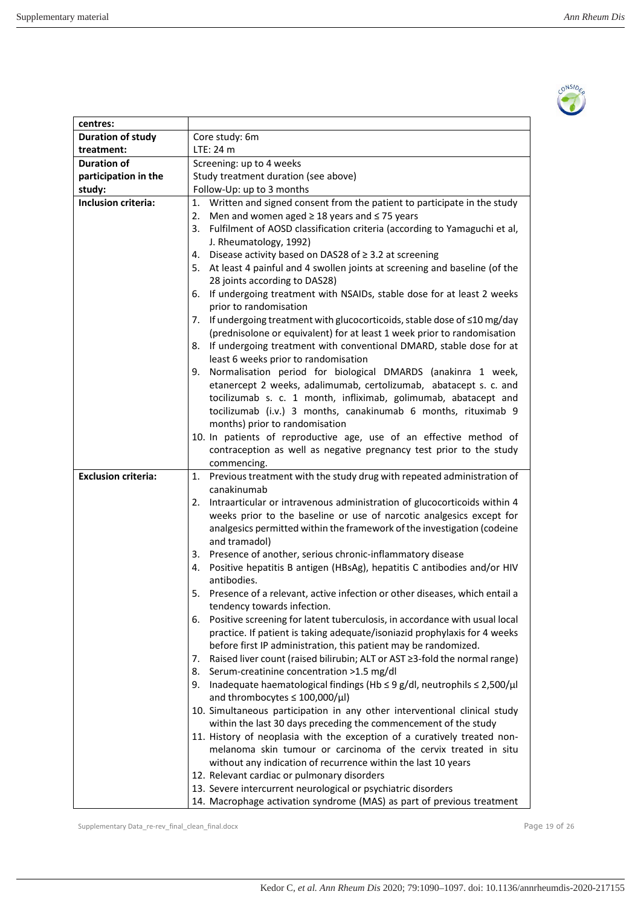

| centres:                   |                                                                                                                                                     |  |  |  |  |  |
|----------------------------|-----------------------------------------------------------------------------------------------------------------------------------------------------|--|--|--|--|--|
| <b>Duration of study</b>   | Core study: 6m                                                                                                                                      |  |  |  |  |  |
| treatment:                 | LTE: 24 m                                                                                                                                           |  |  |  |  |  |
| Duration of                | Screening: up to 4 weeks                                                                                                                            |  |  |  |  |  |
| participation in the       | Study treatment duration (see above)                                                                                                                |  |  |  |  |  |
| study:                     | Follow-Up: up to 3 months                                                                                                                           |  |  |  |  |  |
| Inclusion criteria:        | 1. Written and signed consent from the patient to participate in the study                                                                          |  |  |  |  |  |
|                            | 2. Men and women aged $\geq$ 18 years and $\leq$ 75 years                                                                                           |  |  |  |  |  |
|                            | 3. Fulfilment of AOSD classification criteria (according to Yamaguchi et al,                                                                        |  |  |  |  |  |
|                            | J. Rheumatology, 1992)                                                                                                                              |  |  |  |  |  |
|                            | 4.<br>Disease activity based on DAS28 of $\geq$ 3.2 at screening                                                                                    |  |  |  |  |  |
|                            | 5. At least 4 painful and 4 swollen joints at screening and baseline (of the                                                                        |  |  |  |  |  |
|                            | 28 joints according to DAS28)                                                                                                                       |  |  |  |  |  |
|                            | 6. If undergoing treatment with NSAIDs, stable dose for at least 2 weeks                                                                            |  |  |  |  |  |
|                            | prior to randomisation                                                                                                                              |  |  |  |  |  |
|                            | 7. If undergoing treatment with glucocorticoids, stable dose of <10 mg/day                                                                          |  |  |  |  |  |
|                            | (prednisolone or equivalent) for at least 1 week prior to randomisation                                                                             |  |  |  |  |  |
|                            | 8. If undergoing treatment with conventional DMARD, stable dose for at                                                                              |  |  |  |  |  |
|                            | least 6 weeks prior to randomisation                                                                                                                |  |  |  |  |  |
|                            | 9. Normalisation period for biological DMARDS (anakinra 1 week,                                                                                     |  |  |  |  |  |
|                            | etanercept 2 weeks, adalimumab, certolizumab, abatacept s. c. and                                                                                   |  |  |  |  |  |
|                            | tocilizumab s. c. 1 month, infliximab, golimumab, abatacept and                                                                                     |  |  |  |  |  |
|                            | tocilizumab (i.v.) 3 months, canakinumab 6 months, rituximab 9                                                                                      |  |  |  |  |  |
|                            | months) prior to randomisation                                                                                                                      |  |  |  |  |  |
|                            | 10. In patients of reproductive age, use of an effective method of                                                                                  |  |  |  |  |  |
|                            | contraception as well as negative pregnancy test prior to the study                                                                                 |  |  |  |  |  |
|                            | commencing.                                                                                                                                         |  |  |  |  |  |
| <b>Exclusion criteria:</b> | 1. Previous treatment with the study drug with repeated administration of<br>canakinumab                                                            |  |  |  |  |  |
|                            |                                                                                                                                                     |  |  |  |  |  |
|                            | 2. Intraarticular or intravenous administration of glucocorticoids within 4<br>weeks prior to the baseline or use of narcotic analgesics except for |  |  |  |  |  |
|                            | analgesics permitted within the framework of the investigation (codeine                                                                             |  |  |  |  |  |
|                            | and tramadol)                                                                                                                                       |  |  |  |  |  |
|                            | Presence of another, serious chronic-inflammatory disease<br>3.                                                                                     |  |  |  |  |  |
|                            | Positive hepatitis B antigen (HBsAg), hepatitis C antibodies and/or HIV<br>4.                                                                       |  |  |  |  |  |
|                            | antibodies.                                                                                                                                         |  |  |  |  |  |
|                            | 5.<br>Presence of a relevant, active infection or other diseases, which entail a                                                                    |  |  |  |  |  |
|                            | tendency towards infection.                                                                                                                         |  |  |  |  |  |
|                            | Positive screening for latent tuberculosis, in accordance with usual local<br>6.                                                                    |  |  |  |  |  |
|                            | practice. If patient is taking adequate/isoniazid prophylaxis for 4 weeks                                                                           |  |  |  |  |  |
|                            | before first IP administration, this patient may be randomized.                                                                                     |  |  |  |  |  |
|                            | Raised liver count (raised bilirubin; ALT or AST ≥3-fold the normal range)<br>7.                                                                    |  |  |  |  |  |
|                            | Serum-creatinine concentration >1.5 mg/dl<br>8.                                                                                                     |  |  |  |  |  |
|                            | Inadequate haematological findings (Hb $\leq$ 9 g/dl, neutrophils $\leq$ 2,500/ $\mu$ l<br>9.                                                       |  |  |  |  |  |
|                            | and thrombocytes $\leq 100,000/\mu l$ )                                                                                                             |  |  |  |  |  |
|                            | 10. Simultaneous participation in any other interventional clinical study                                                                           |  |  |  |  |  |
|                            | within the last 30 days preceding the commencement of the study                                                                                     |  |  |  |  |  |
|                            | 11. History of neoplasia with the exception of a curatively treated non-                                                                            |  |  |  |  |  |
|                            | melanoma skin tumour or carcinoma of the cervix treated in situ                                                                                     |  |  |  |  |  |
|                            | without any indication of recurrence within the last 10 years                                                                                       |  |  |  |  |  |
|                            | 12. Relevant cardiac or pulmonary disorders                                                                                                         |  |  |  |  |  |
|                            | 13. Severe intercurrent neurological or psychiatric disorders                                                                                       |  |  |  |  |  |
|                            | 14. Macrophage activation syndrome (MAS) as part of previous treatment                                                                              |  |  |  |  |  |

Supplementary Data\_re-rev\_final\_clean\_final.docx extending the state of 26 and 20 of 26 and 20 of 26 and 20 of 26 and 20 of 26 and 20 of 26 and 20 of 26 and 20 of 26 and 20 of 26 and 20 of 26 and 20 of 26 and 20 of 26 and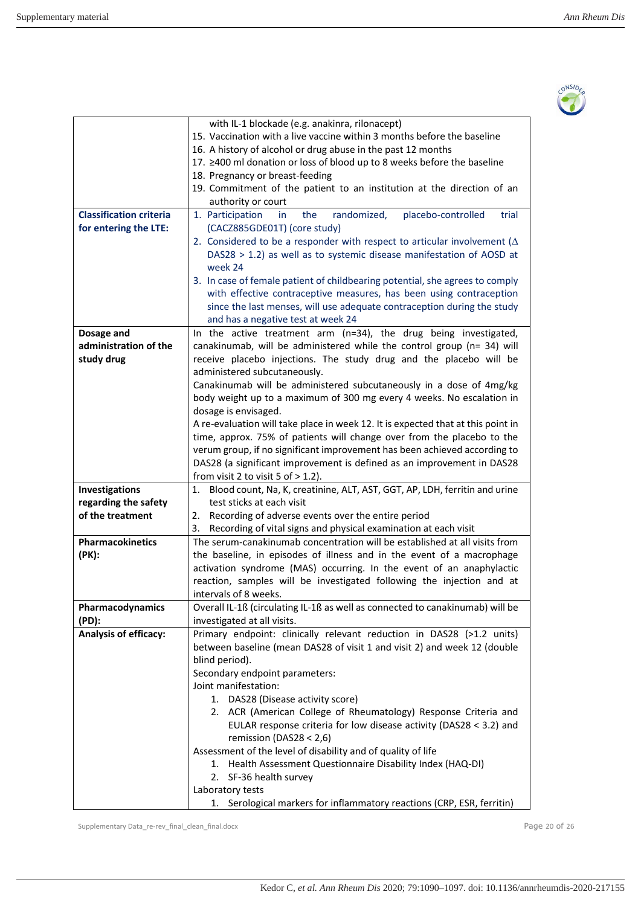

|                                | with IL-1 blockade (e.g. anakinra, rilonacept)                                   |  |  |  |  |  |  |
|--------------------------------|----------------------------------------------------------------------------------|--|--|--|--|--|--|
|                                | 15. Vaccination with a live vaccine within 3 months before the baseline          |  |  |  |  |  |  |
|                                | 16. A history of alcohol or drug abuse in the past 12 months                     |  |  |  |  |  |  |
|                                | 17. ≥400 ml donation or loss of blood up to 8 weeks before the baseline          |  |  |  |  |  |  |
|                                | 18. Pregnancy or breast-feeding                                                  |  |  |  |  |  |  |
|                                | 19. Commitment of the patient to an institution at the direction of an           |  |  |  |  |  |  |
|                                | authority or court                                                               |  |  |  |  |  |  |
| <b>Classification criteria</b> | randomized,<br>placebo-controlled<br>1. Participation<br>the<br>trial<br>in      |  |  |  |  |  |  |
| for entering the LTE:          | (CACZ885GDE01T) (core study)                                                     |  |  |  |  |  |  |
|                                | 2. Considered to be a responder with respect to articular involvement ( $\Delta$ |  |  |  |  |  |  |
|                                | DAS28 > 1.2) as well as to systemic disease manifestation of AOSD at             |  |  |  |  |  |  |
|                                | week 24                                                                          |  |  |  |  |  |  |
|                                | 3. In case of female patient of childbearing potential, she agrees to comply     |  |  |  |  |  |  |
|                                | with effective contraceptive measures, has been using contraception              |  |  |  |  |  |  |
|                                | since the last menses, will use adequate contraception during the study          |  |  |  |  |  |  |
|                                | and has a negative test at week 24                                               |  |  |  |  |  |  |
| Dosage and                     | In the active treatment arm (n=34), the drug being investigated,                 |  |  |  |  |  |  |
| administration of the          | canakinumab, will be administered while the control group (n= 34) will           |  |  |  |  |  |  |
| study drug                     | receive placebo injections. The study drug and the placebo will be               |  |  |  |  |  |  |
|                                | administered subcutaneously.                                                     |  |  |  |  |  |  |
|                                | Canakinumab will be administered subcutaneously in a dose of 4mg/kg              |  |  |  |  |  |  |
|                                | body weight up to a maximum of 300 mg every 4 weeks. No escalation in            |  |  |  |  |  |  |
|                                | dosage is envisaged.                                                             |  |  |  |  |  |  |
|                                | A re-evaluation will take place in week 12. It is expected that at this point in |  |  |  |  |  |  |
|                                | time, approx. 75% of patients will change over from the placebo to the           |  |  |  |  |  |  |
|                                | verum group, if no significant improvement has been achieved according to        |  |  |  |  |  |  |
|                                | DAS28 (a significant improvement is defined as an improvement in DAS28           |  |  |  |  |  |  |
|                                | from visit 2 to visit 5 of $> 1.2$ ).                                            |  |  |  |  |  |  |
| Investigations                 | 1. Blood count, Na, K, creatinine, ALT, AST, GGT, AP, LDH, ferritin and urine    |  |  |  |  |  |  |
| regarding the safety           | test sticks at each visit                                                        |  |  |  |  |  |  |
| of the treatment               | 2. Recording of adverse events over the entire period                            |  |  |  |  |  |  |
|                                | Recording of vital signs and physical examination at each visit<br>3.            |  |  |  |  |  |  |
| Pharmacokinetics               | The serum-canakinumab concentration will be established at all visits from       |  |  |  |  |  |  |
| (PK):                          | the baseline, in episodes of illness and in the event of a macrophage            |  |  |  |  |  |  |
|                                | activation syndrome (MAS) occurring. In the event of an anaphylactic             |  |  |  |  |  |  |
|                                | reaction, samples will be investigated following the injection and at            |  |  |  |  |  |  |
|                                | intervals of 8 weeks.                                                            |  |  |  |  |  |  |
| Pharmacodynamics               | Overall IL-1ß (circulating IL-1ß as well as connected to canakinumab) will be    |  |  |  |  |  |  |
| (PD):                          | investigated at all visits.                                                      |  |  |  |  |  |  |
| Analysis of efficacy:          | Primary endpoint: clinically relevant reduction in DAS28 (>1.2 units)            |  |  |  |  |  |  |
|                                | between baseline (mean DAS28 of visit 1 and visit 2) and week 12 (double         |  |  |  |  |  |  |
|                                | blind period).                                                                   |  |  |  |  |  |  |
|                                | Secondary endpoint parameters:                                                   |  |  |  |  |  |  |
|                                | Joint manifestation:                                                             |  |  |  |  |  |  |
|                                | 1. DAS28 (Disease activity score)                                                |  |  |  |  |  |  |
|                                | 2. ACR (American College of Rheumatology) Response Criteria and                  |  |  |  |  |  |  |
|                                | EULAR response criteria for low disease activity (DAS28 < 3.2) and               |  |  |  |  |  |  |
|                                | remission (DAS28 < 2,6)                                                          |  |  |  |  |  |  |
|                                | Assessment of the level of disability and of quality of life                     |  |  |  |  |  |  |
|                                | 1. Health Assessment Questionnaire Disability Index (HAQ-DI)                     |  |  |  |  |  |  |
|                                | 2. SF-36 health survey                                                           |  |  |  |  |  |  |
|                                | Laboratory tests                                                                 |  |  |  |  |  |  |
|                                | 1. Serological markers for inflammatory reactions (CRP, ESR, ferritin)           |  |  |  |  |  |  |

Supplementary Data\_re-rev\_final\_clean\_final.docx example 30 of 26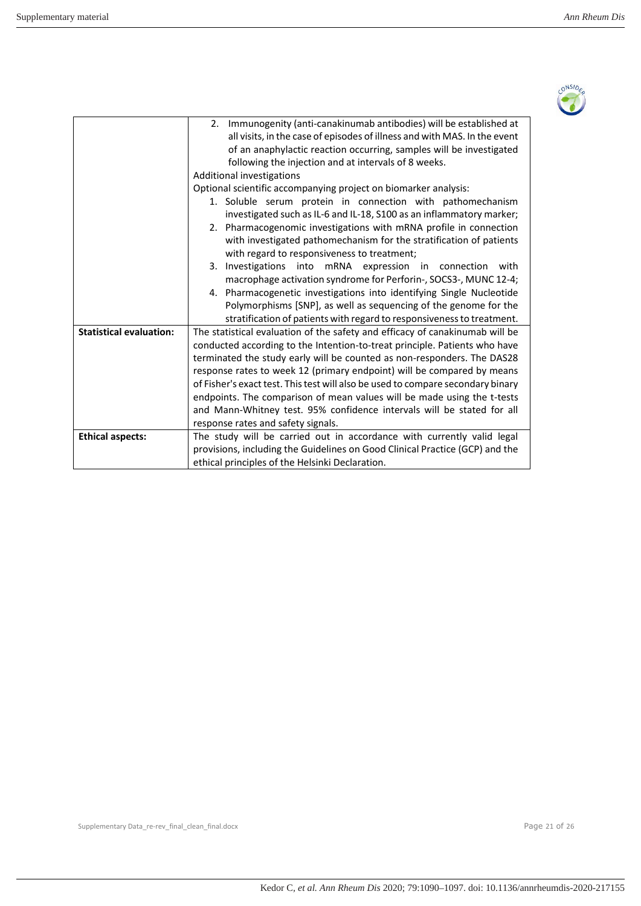

|                                | 2. Immunogenity (anti-canakinumab antibodies) will be established at<br>all visits, in the case of episodes of illness and with MAS. In the event<br>of an anaphylactic reaction occurring, samples will be investigated<br>following the injection and at intervals of 8 weeks.<br>Additional investigations |  |  |  |  |  |  |
|--------------------------------|---------------------------------------------------------------------------------------------------------------------------------------------------------------------------------------------------------------------------------------------------------------------------------------------------------------|--|--|--|--|--|--|
|                                | Optional scientific accompanying project on biomarker analysis:                                                                                                                                                                                                                                               |  |  |  |  |  |  |
|                                | 1. Soluble serum protein in connection with pathomechanism                                                                                                                                                                                                                                                    |  |  |  |  |  |  |
|                                | investigated such as IL-6 and IL-18, S100 as an inflammatory marker;                                                                                                                                                                                                                                          |  |  |  |  |  |  |
|                                | 2. Pharmacogenomic investigations with mRNA profile in connection                                                                                                                                                                                                                                             |  |  |  |  |  |  |
|                                | with investigated pathomechanism for the stratification of patients                                                                                                                                                                                                                                           |  |  |  |  |  |  |
|                                | with regard to responsiveness to treatment;                                                                                                                                                                                                                                                                   |  |  |  |  |  |  |
|                                | 3. Investigations into mRNA expression in connection<br>with                                                                                                                                                                                                                                                  |  |  |  |  |  |  |
|                                | macrophage activation syndrome for Perforin-, SOCS3-, MUNC 12-4;                                                                                                                                                                                                                                              |  |  |  |  |  |  |
|                                | 4. Pharmacogenetic investigations into identifying Single Nucleotide                                                                                                                                                                                                                                          |  |  |  |  |  |  |
|                                | Polymorphisms [SNP], as well as sequencing of the genome for the                                                                                                                                                                                                                                              |  |  |  |  |  |  |
|                                | stratification of patients with regard to responsiveness to treatment.                                                                                                                                                                                                                                        |  |  |  |  |  |  |
| <b>Statistical evaluation:</b> | The statistical evaluation of the safety and efficacy of canakinumab will be                                                                                                                                                                                                                                  |  |  |  |  |  |  |
|                                | conducted according to the Intention-to-treat principle. Patients who have                                                                                                                                                                                                                                    |  |  |  |  |  |  |
|                                | terminated the study early will be counted as non-responders. The DAS28                                                                                                                                                                                                                                       |  |  |  |  |  |  |
|                                | response rates to week 12 (primary endpoint) will be compared by means                                                                                                                                                                                                                                        |  |  |  |  |  |  |
|                                | of Fisher's exact test. This test will also be used to compare secondary binary                                                                                                                                                                                                                               |  |  |  |  |  |  |
|                                | endpoints. The comparison of mean values will be made using the t-tests                                                                                                                                                                                                                                       |  |  |  |  |  |  |
|                                | and Mann-Whitney test. 95% confidence intervals will be stated for all                                                                                                                                                                                                                                        |  |  |  |  |  |  |
|                                | response rates and safety signals.                                                                                                                                                                                                                                                                            |  |  |  |  |  |  |
| <b>Ethical aspects:</b>        | The study will be carried out in accordance with currently valid legal                                                                                                                                                                                                                                        |  |  |  |  |  |  |
|                                | provisions, including the Guidelines on Good Clinical Practice (GCP) and the                                                                                                                                                                                                                                  |  |  |  |  |  |  |
|                                | ethical principles of the Helsinki Declaration.                                                                                                                                                                                                                                                               |  |  |  |  |  |  |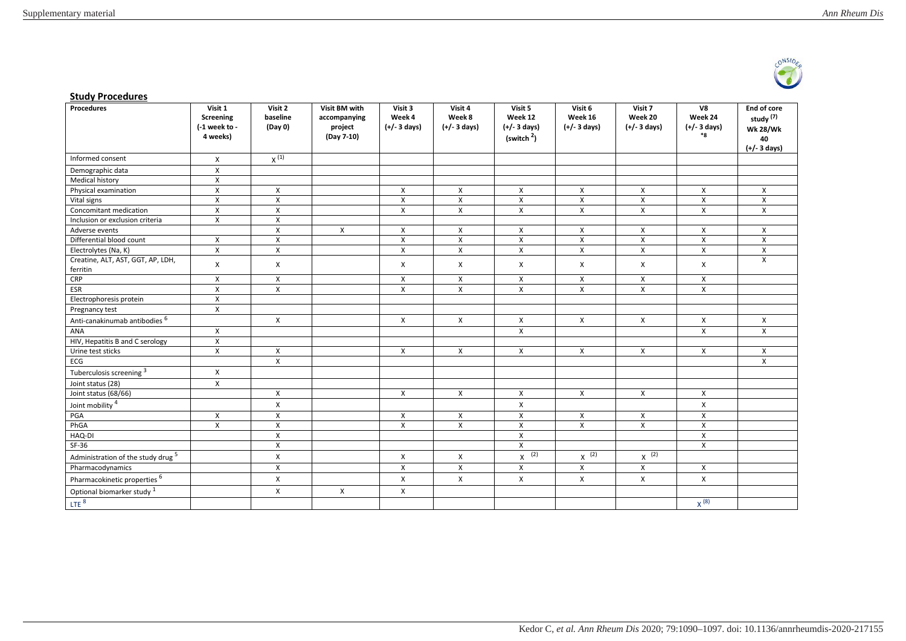

#### **Study Procedures**

| Procedures                                    | Visit 1<br>Screening<br>$(-1$ week to -<br>4 weeks) | Visit 2<br>baseline<br>(Day 0) | Visit BM with<br>accompanying<br>project<br>(Day 7-10) | Visit 3<br>Week 4<br>$(+/- 3$ days) | Visit 4<br>Week 8<br>$(+/- 3 \text{ days})$ | Visit 5<br>Week 12<br>$(+/- 3 \text{ days})$<br>(switch <sup>2</sup> ) | Visit 6<br>Week 16<br>$(+/- 3 \text{ days})$ | Visit 7<br>Week 20<br>$(+/- 3 \text{ days})$ | V8<br>Week 24<br>$(+/- 3$ days)<br>${}^*8$ | End of core<br>study <sup>(7)</sup><br><b>Wk 28/Wk</b><br>40<br>$(+/- 3$ days) |
|-----------------------------------------------|-----------------------------------------------------|--------------------------------|--------------------------------------------------------|-------------------------------------|---------------------------------------------|------------------------------------------------------------------------|----------------------------------------------|----------------------------------------------|--------------------------------------------|--------------------------------------------------------------------------------|
| Informed consent                              | $\boldsymbol{\mathsf{X}}$                           | $x^{(1)}$                      |                                                        |                                     |                                             |                                                                        |                                              |                                              |                                            |                                                                                |
| Demographic data                              | $\pmb{\times}$                                      |                                |                                                        |                                     |                                             |                                                                        |                                              |                                              |                                            |                                                                                |
| <b>Medical history</b>                        | $\pmb{\times}$                                      |                                |                                                        |                                     |                                             |                                                                        |                                              |                                              |                                            |                                                                                |
| Physical examination                          | $\pmb{\times}$                                      | X                              |                                                        | X                                   | X                                           | X                                                                      | X                                            | X                                            | X                                          | X                                                                              |
| Vital signs                                   | $\pmb{\chi}$                                        | $\mathsf{X}$                   |                                                        | $\pmb{\times}$                      | X                                           | $\pmb{\chi}$                                                           | X                                            | X                                            | $\mathsf{X}$                               | X                                                                              |
| Concomitant medication                        | $\pmb{\chi}$                                        | $\pmb{\chi}$                   |                                                        | $\pmb{\times}$                      | $\pmb{\mathsf{X}}$                          | $\pmb{\mathsf{X}}$                                                     | $\pmb{\mathsf{X}}$                           | $\mathsf{X}$                                 | $\mathsf{X}$                               | $\pmb{\mathsf{X}}$                                                             |
| Inclusion or exclusion criteria               | $\pmb{\chi}$                                        | $\mathsf{X}$                   |                                                        |                                     |                                             |                                                                        |                                              |                                              |                                            |                                                                                |
| Adverse events                                |                                                     | $\mathsf{X}$                   | $\mathsf{X}$                                           | $\pmb{\chi}$                        | $\mathsf{X}$                                | X                                                                      | $\mathsf{X}$                                 | X                                            | $\boldsymbol{\mathsf{X}}$                  | $\mathsf{X}$                                                                   |
| Differential blood count                      | X                                                   | X                              |                                                        | $\pmb{\times}$                      | X                                           | X                                                                      | X                                            | X                                            | X                                          | X                                                                              |
| Electrolytes (Na, K)                          | X                                                   | $\pmb{\chi}$                   |                                                        | X                                   | $\pmb{\mathsf{X}}$                          | $\pmb{\mathsf{X}}$                                                     | $\pmb{\mathsf{X}}$                           | X                                            | X                                          | X                                                                              |
| Creatine, ALT, AST, GGT, AP, LDH,<br>ferritin | $\boldsymbol{\mathsf{X}}$                           | X                              |                                                        | $\boldsymbol{\mathsf{X}}$           | X                                           | X                                                                      | X                                            | X                                            | $\boldsymbol{\mathsf{X}}$                  | $\mathsf{X}$                                                                   |
| CRP                                           | $\pmb{\chi}$                                        | $\mathsf{X}$                   |                                                        | $\pmb{\chi}$                        | X                                           | $\mathsf{X}$                                                           | $\mathsf{x}$                                 | $\mathsf{X}$                                 | $\mathsf{X}$                               |                                                                                |
| <b>ESR</b>                                    | $\pmb{\chi}$                                        | $\mathsf{X}$                   |                                                        | $\pmb{\chi}$                        | X                                           | X                                                                      | X                                            | X                                            | $\mathsf{x}$                               |                                                                                |
| Electrophoresis protein                       | X                                                   |                                |                                                        |                                     |                                             |                                                                        |                                              |                                              |                                            |                                                                                |
| Pregnancy test                                | $\pmb{\times}$                                      |                                |                                                        |                                     |                                             |                                                                        |                                              |                                              |                                            |                                                                                |
| Anti-canakinumab antibodies <sup>6</sup>      |                                                     | X                              |                                                        | X                                   | X                                           | X                                                                      | X                                            | X                                            | X                                          | X                                                                              |
| ANA                                           | $\boldsymbol{\mathsf{X}}$                           |                                |                                                        |                                     |                                             | X                                                                      |                                              |                                              | $\mathsf{x}$                               | $\mathsf{X}$                                                                   |
| HIV, Hepatitis B and C serology               | $\pmb{\chi}$                                        |                                |                                                        |                                     |                                             |                                                                        |                                              |                                              |                                            |                                                                                |
| Urine test sticks                             | $\pmb{\times}$                                      | X                              |                                                        | $\boldsymbol{\mathsf{X}}$           | X                                           | X                                                                      | X                                            | X                                            | $\mathsf{x}$                               | X                                                                              |
| ECG                                           |                                                     | $\mathsf{X}$                   |                                                        |                                     |                                             |                                                                        |                                              |                                              |                                            | $\pmb{\chi}$                                                                   |
| Tuberculosis screening 3                      | X                                                   |                                |                                                        |                                     |                                             |                                                                        |                                              |                                              |                                            |                                                                                |
| Joint status (28)                             | X                                                   |                                |                                                        |                                     |                                             |                                                                        |                                              |                                              |                                            |                                                                                |
| Joint status (68/66)                          |                                                     | $\mathsf{X}$                   |                                                        | X                                   | X                                           | X                                                                      | $\mathsf{X}$                                 | X                                            | X                                          |                                                                                |
| Joint mobility <sup>4</sup>                   |                                                     | $\mathsf{X}$                   |                                                        |                                     |                                             | $\pmb{\mathsf{X}}$                                                     |                                              |                                              | $\mathsf{X}$                               |                                                                                |
| PGA                                           | X                                                   | X                              |                                                        | $\boldsymbol{\mathsf{X}}$           | X                                           | X                                                                      | X                                            | X                                            | X                                          |                                                                                |
| PhGA                                          | $\pmb{\times}$                                      | X                              |                                                        | $\pmb{\times}$                      | X                                           | X                                                                      | X                                            | X                                            | X                                          |                                                                                |
| HAQ-DI                                        |                                                     | $\pmb{\times}$                 |                                                        |                                     |                                             | $\pmb{\times}$                                                         |                                              |                                              | $\mathsf{X}$                               |                                                                                |
| $SF-36$                                       |                                                     | $\pmb{\chi}$                   |                                                        |                                     |                                             | $\pmb{\mathsf{X}}$                                                     |                                              |                                              | X                                          |                                                                                |
| Administration of the study drug <sup>5</sup> |                                                     | $\mathsf{X}$                   |                                                        | X                                   | X                                           | $X$ (2)                                                                | $x^{-2}$                                     | $X^{(2)}$                                    |                                            |                                                                                |
| Pharmacodynamics                              |                                                     | $\pmb{\chi}$                   |                                                        | $\pmb{\times}$                      | X                                           | X                                                                      | X                                            | X                                            | X                                          |                                                                                |
| Pharmacokinetic properties <sup>6</sup>       |                                                     | $\pmb{\chi}$                   |                                                        | $\pmb{\times}$                      | X                                           | X                                                                      | $\mathsf{X}$                                 | X                                            | X                                          |                                                                                |
| Optional biomarker study 1                    |                                                     | X                              | X                                                      | X                                   |                                             |                                                                        |                                              |                                              |                                            |                                                                                |
| LTE <sup>8</sup>                              |                                                     |                                |                                                        |                                     |                                             |                                                                        |                                              |                                              | $x^{(8)}$                                  |                                                                                |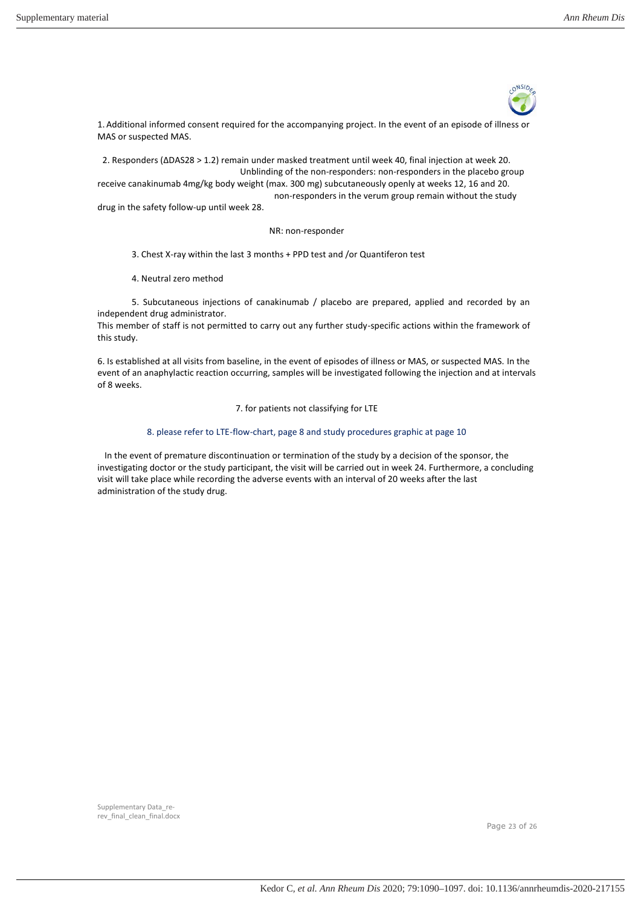

1. Additional informed consent required for the accompanying project. In the event of an episode of illness or MAS or suspected MAS.

2. Responders (∆DAS28 > 1.2) remain under masked treatment until week 40, final injection at week 20. Unblinding of the non-responders: non-responders in the placebo group receive canakinumab 4mg/kg body weight (max. 300 mg) subcutaneously openly at weeks 12, 16 and 20. non-responders in the verum group remain without the study drug in the safety follow-up until week 28.

#### NR: non-responder

3. Chest X-ray within the last 3 months + PPD test and /or Quantiferon test

4. Neutral zero method

5. Subcutaneous injections of canakinumab / placebo are prepared, applied and recorded by an independent drug administrator.

This member of staff is not permitted to carry out any further study-specific actions within the framework of this study.

6. Is established at all visits from baseline, in the event of episodes of illness or MAS, or suspected MAS. In the event of an anaphylactic reaction occurring, samples will be investigated following the injection and at intervals of 8 weeks.

7. for patients not classifying for LTE

#### 8. please refer to LTE-flow-chart, page 8 and study procedures graphic at page 10

In the event of premature discontinuation or termination of the study by a decision of the sponsor, the investigating doctor or the study participant, the visit will be carried out in week 24. Furthermore, a concluding visit will take place while recording the adverse events with an interval of 20 weeks after the last administration of the study drug.

Page 23 of 26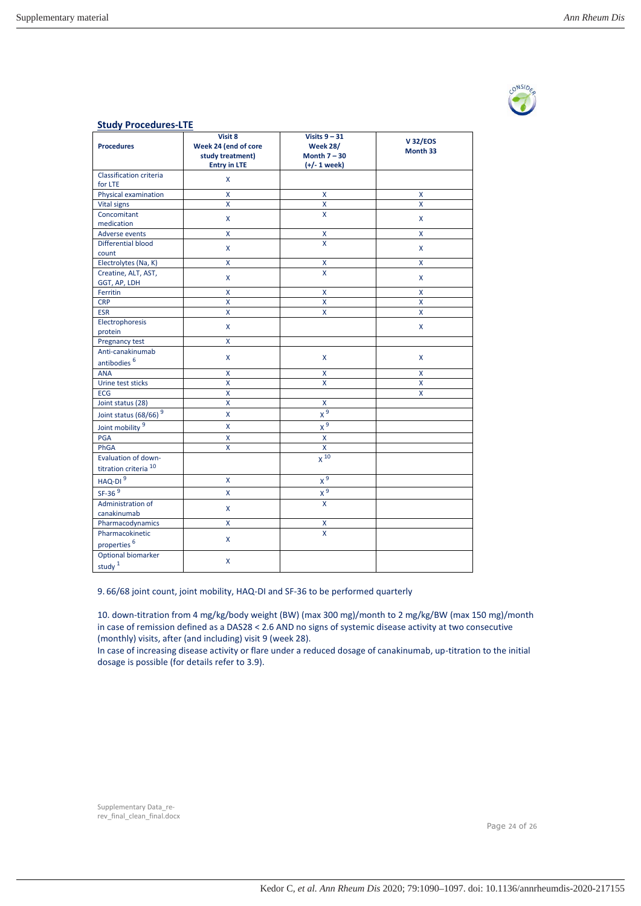

| <b>Study Procedures-LTE</b>       |                                                                            |                                                                        |                            |  |  |  |  |
|-----------------------------------|----------------------------------------------------------------------------|------------------------------------------------------------------------|----------------------------|--|--|--|--|
| <b>Procedures</b>                 | Visit 8<br>Week 24 (end of core<br>study treatment)<br><b>Entry in LTE</b> | Visits $9 - 31$<br><b>Week 28/</b><br>Month $7 - 30$<br>$(+/- 1$ week) | <b>V32/EOS</b><br>Month 33 |  |  |  |  |
| Classification criteria           | X                                                                          |                                                                        |                            |  |  |  |  |
| for LTE                           |                                                                            |                                                                        |                            |  |  |  |  |
| Physical examination              | X                                                                          | X                                                                      | X                          |  |  |  |  |
| <b>Vital signs</b>                | Χ                                                                          | X                                                                      | X                          |  |  |  |  |
| Concomitant                       | X                                                                          | $\mathsf{x}$                                                           | X                          |  |  |  |  |
| medication                        |                                                                            |                                                                        |                            |  |  |  |  |
| <b>Adverse events</b>             | $\pmb{\mathsf{X}}$                                                         | X                                                                      | X                          |  |  |  |  |
| Differential blood<br>count       | X                                                                          | X                                                                      | X                          |  |  |  |  |
| Electrolytes (Na, K)              | X                                                                          | x                                                                      | Χ                          |  |  |  |  |
| Creatine, ALT, AST,               |                                                                            | X                                                                      |                            |  |  |  |  |
| GGT, AP, LDH                      | X                                                                          |                                                                        | X                          |  |  |  |  |
| Ferritin                          | X                                                                          | X                                                                      | X                          |  |  |  |  |
| <b>CRP</b>                        | $\pmb{\mathsf{X}}$                                                         | X                                                                      | X                          |  |  |  |  |
| <b>ESR</b>                        | X                                                                          | X                                                                      | X                          |  |  |  |  |
| Electrophoresis                   |                                                                            |                                                                        |                            |  |  |  |  |
| protein                           | X                                                                          |                                                                        | X                          |  |  |  |  |
| Pregnancy test                    | X                                                                          |                                                                        |                            |  |  |  |  |
| Anti-canakinumab                  | X                                                                          | X                                                                      | X                          |  |  |  |  |
| antibodies <sup>6</sup>           |                                                                            |                                                                        |                            |  |  |  |  |
| <b>ANA</b>                        | Χ                                                                          | X                                                                      | X                          |  |  |  |  |
| Urine test sticks                 | X                                                                          | $\mathsf{x}$                                                           | X                          |  |  |  |  |
| <b>ECG</b>                        | Χ                                                                          |                                                                        | X                          |  |  |  |  |
| Joint status (28)                 | X                                                                          | $\pmb{\mathsf{X}}$                                                     |                            |  |  |  |  |
| Joint status (68/66) <sup>9</sup> | X                                                                          | $x^9$                                                                  |                            |  |  |  |  |
| Joint mobility 9                  | X                                                                          | $x^9$                                                                  |                            |  |  |  |  |
| <b>PGA</b>                        | $\mathsf{x}$                                                               | $\mathsf{x}$                                                           |                            |  |  |  |  |
| PhGA                              | Χ                                                                          | $\pmb{\mathsf{X}}$                                                     |                            |  |  |  |  |
| Evaluation of down-               |                                                                            | $x^{10}$                                                               |                            |  |  |  |  |
| titration criteria <sup>10</sup>  |                                                                            |                                                                        |                            |  |  |  |  |
| $HAQ-DI9$                         | X                                                                          | $x^9$                                                                  |                            |  |  |  |  |
| $SF-369$                          | X                                                                          | $x^9$                                                                  |                            |  |  |  |  |
| Administration of                 |                                                                            | X                                                                      |                            |  |  |  |  |
| canakinumab                       | X                                                                          |                                                                        |                            |  |  |  |  |
| Pharmacodynamics                  | X                                                                          | X                                                                      |                            |  |  |  |  |
| Pharmacokinetic                   |                                                                            | $\overline{\mathsf{x}}$                                                |                            |  |  |  |  |
| properties <sup>6</sup>           | X                                                                          |                                                                        |                            |  |  |  |  |
| Optional biomarker                |                                                                            |                                                                        |                            |  |  |  |  |
| study <sup>1</sup>                | Χ                                                                          |                                                                        |                            |  |  |  |  |

9. 66/68 joint count, joint mobility, HAQ-DI and SF-36 to be performed quarterly

10. down-titration from 4 mg/kg/body weight (BW) (max 300 mg)/month to 2 mg/kg/BW (max 150 mg)/month in case of remission defined as a DAS28 < 2.6 AND no signs of systemic disease activity at two consecutive (monthly) visits, after (and including) visit 9 (week 28).

In case of increasing disease activity or flare under a reduced dosage of canakinumab, up-titration to the initial dosage is possible (for details refer to 3.9).

Page 24 of 26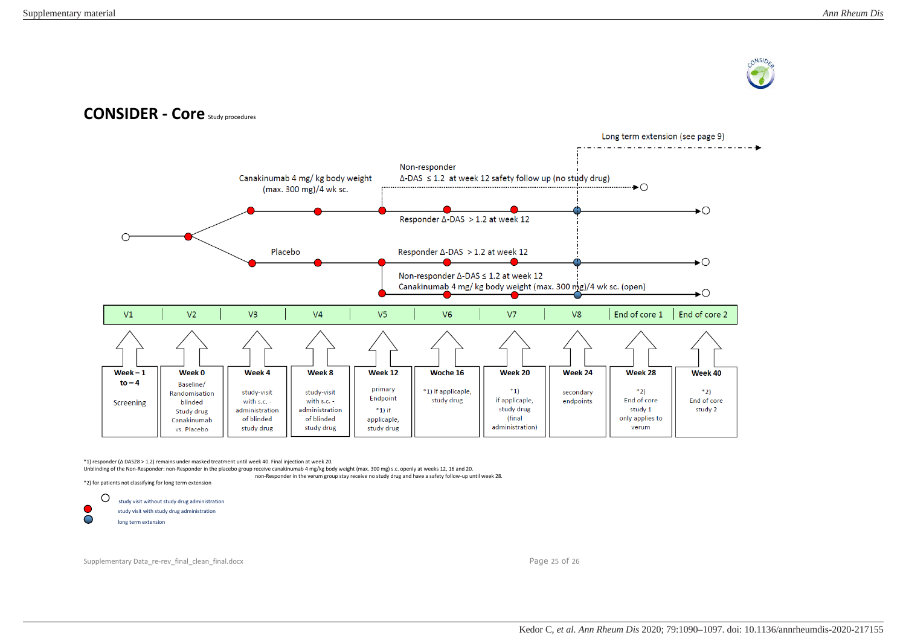

# **CONSIDER - Core** Study procedures



\*1) responder (∆ DAS28 > 1.2) remains under masked treatment until week 40. Final injection at week 20.

Unblinding of the Non-Responder: non-Responder in the placebo group receive canakinumab 4 mg/kg body weight (max. 300 mg) s.c. openly at weeks 12, 16 and 20.

non-Responder in the verum group stay receive no study drug and have a safety follow-up until week 28.

\*2) for patients not classifying for long term extension

 $\circ$ study visit without study drug administration study visit with study drug administration long term extension

Supplementary Data\_re-rev\_final\_clean\_final.docx Page 25 of 26